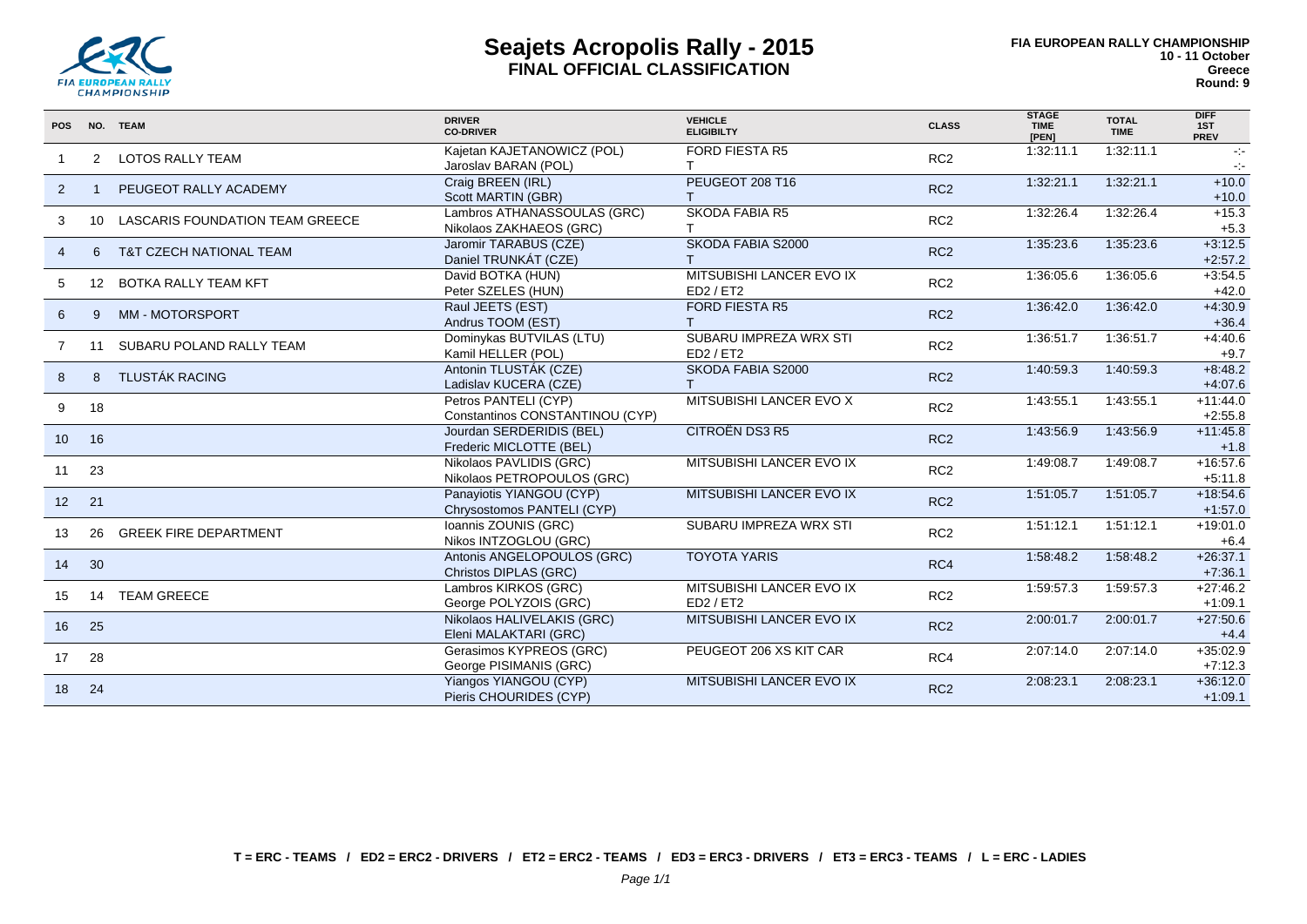

# **Seajets Acropolis Rally - 2015 FINAL OFFICIAL CLASSIFICATION**

| <b>POS</b>      |                  | NO. TEAM                           | <b>DRIVER</b><br><b>CO-DRIVER</b>                       | <b>VEHICLE</b><br><b>ELIGIBILTY</b>   | <b>CLASS</b>    | <b>STAGE</b><br><b>TIME</b><br>[PEN] | <b>TOTAL</b><br><b>TIME</b> | <b>DIFF</b><br>1ST<br><b>PREV</b>     |
|-----------------|------------------|------------------------------------|---------------------------------------------------------|---------------------------------------|-----------------|--------------------------------------|-----------------------------|---------------------------------------|
|                 | 2                | <b>LOTOS RALLY TEAM</b>            | Kajetan KAJETANOWICZ (POL)<br>Jaroslav BARAN (POL)      | <b>FORD FIESTA R5</b>                 | RC <sub>2</sub> | 1:32:11.1                            | 1:32:11.1                   | $\sim$<br>$\mathcal{C}_{\mathcal{C}}$ |
| 2               |                  | PEUGEOT RALLY ACADEMY              | Craig BREEN (IRL)<br>Scott MARTIN (GBR)                 | PEUGEOT 208 T16                       | RC <sub>2</sub> | 1:32:21.1                            | 1:32:21.1                   | $+10.0$<br>$+10.0$                    |
| 3               |                  | 10 LASCARIS FOUNDATION TEAM GREECE | Lambros ATHANASSOULAS (GRC)<br>Nikolaos ZAKHAEOS (GRC)  | <b>SKODA FABIA R5</b>                 | RC <sub>2</sub> | 1:32:26.4                            | 1:32:26.4                   | $+15.3$<br>$+5.3$                     |
| $\overline{4}$  | 6                | <b>T&amp;T CZECH NATIONAL TEAM</b> | Jaromir TARABUS (CZE)<br>Daniel TRUNKÁT (CZE)           | SKODA FABIA S2000                     | RC <sub>2</sub> | 1:35:23.6                            | 1:35:23.6                   | $+3:12.5$<br>$+2:57.2$                |
| 5               | 12 <sup>12</sup> | BOTKA RALLY TEAM KFT               | David BOTKA (HUN)<br>Peter SZELES (HUN)                 | MITSUBISHI LANCER EVO IX<br>ED2 / ET2 | RC <sub>2</sub> | 1:36:05.6                            | 1:36:05.6                   | $+3:54.5$<br>$+42.0$                  |
| 6               | 9                | MM - MOTORSPORT                    | Raul JEETS (EST)<br>Andrus TOOM (EST)                   | <b>FORD FIESTA R5</b>                 | RC <sub>2</sub> | 1:36:42.0                            | 1:36:42.0                   | $+4:30.9$<br>$+36.4$                  |
| 7               | 11               | SUBARU POLAND RALLY TEAM           | Dominykas BUTVILAS (LTU)<br>Kamil HELLER (POL)          | SUBARU IMPREZA WRX STI<br>ED2 / ET2   | RC <sub>2</sub> | 1:36:51.7                            | 1:36:51.7                   | $+4.40.6$<br>$+9.7$                   |
| 8               | $\mathsf{R}$     | <b>TLUSTÁK RACING</b>              | Antonin TLUSTÁK (CZE)<br>Ladislav KUCERA (CZE)          | SKODA FABIA S2000<br>T.               | RC <sub>2</sub> | 1:40:59.3                            | 1:40:59.3                   | $+8:48.2$<br>$+4:07.6$                |
| 9               | 18               |                                    | Petros PANTELI (CYP)<br>Constantinos CONSTANTINOU (CYP) | MITSUBISHI LANCER EVO X               | RC <sub>2</sub> | 1:43:55.1                            | 1:43:55.1                   | $+11:44.0$<br>$+2:55.8$               |
| 10              | 16               |                                    | Jourdan SERDERIDIS (BEL)<br>Frederic MICLOTTE (BEL)     | <b>CITROËN DS3 R5</b>                 | RC <sub>2</sub> | 1:43:56.9                            | 1:43:56.9                   | $+11:45.8$<br>$+1.8$                  |
| 11              | 23               |                                    | Nikolaos PAVLIDIS (GRC)<br>Nikolaos PETROPOULOS (GRC)   | MITSUBISHI LANCER EVO IX              | RC <sub>2</sub> | 1:49:08.7                            | 1:49:08.7                   | $+16.57.6$<br>$+5:11.8$               |
| 12 <sup>2</sup> | 21               |                                    | Panayiotis YIANGOU (CYP)<br>Chrysostomos PANTELI (CYP)  | MITSUBISHI LANCER EVO IX              | RC <sub>2</sub> | 1:51:05.7                            | 1:51:05.7                   | $+18.54.6$<br>$+1.57.0$               |
| 13              | 26               | <b>GREEK FIRE DEPARTMENT</b>       | Ioannis ZOUNIS (GRC)<br>Nikos INTZOGLOU (GRC)           | SUBARU IMPREZA WRX STI                | RC <sub>2</sub> | 1:51:12.1                            | 1:51:12.1                   | $+19:01.0$<br>$+6.4$                  |
| 14              | 30               |                                    | Antonis ANGELOPOULOS (GRC)<br>Christos DIPLAS (GRC)     | <b>TOYOTA YARIS</b>                   | RC4             | 1:58:48.2                            | 1:58:48.2                   | $+26:37.1$<br>$+7:36.1$               |
| 15              |                  | 14 TEAM GREECE                     | Lambros KIRKOS (GRC)<br>George POLYZOIS (GRC)           | MITSUBISHI LANCER EVO IX<br>ED2 / ET2 | RC <sub>2</sub> | 1:59:57.3                            | 1:59:57.3                   | $+27:46.2$<br>$+1:09.1$               |
| 16              | 25               |                                    | Nikolaos HALIVELAKIS (GRC)<br>Eleni MALAKTARI (GRC)     | MITSUBISHI LANCER EVO IX              | RC <sub>2</sub> | 2:00:01.7                            | 2:00:01.7                   | $+27:50.6$<br>$+4.4$                  |
| 17              | 28               |                                    | Gerasimos KYPREOS (GRC)<br>George PISIMANIS (GRC)       | PEUGEOT 206 XS KIT CAR                | RC4             | 2:07:14.0                            | 2:07:14.0                   | $+35:02.9$<br>$+7:12.3$               |
| 18              | 24               |                                    | Yiangos YIANGOU (CYP)<br>Pieris CHOURIDES (CYP)         | MITSUBISHI LANCER EVO IX              | RC <sub>2</sub> | 2:08:23.1                            | 2:08:23.1                   | $+36:12.0$<br>$+1:09.1$               |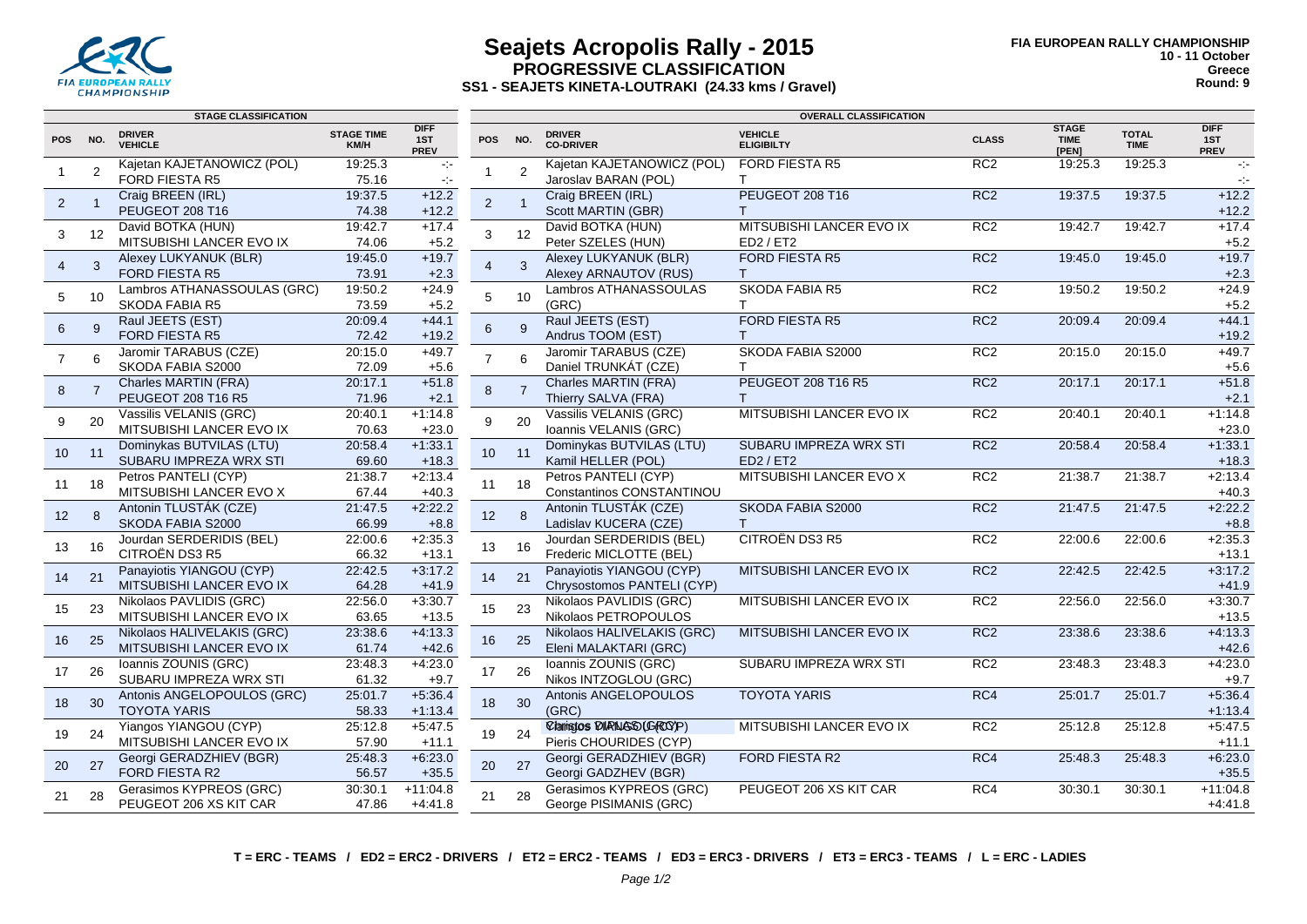

# **Seajets Acropolis Rally - 2015 PROGRESSIVE CLASSIFICATION**

**SS1 - SEAJETS KINETA-LOUTRAKI (24.33 kms / Gravel)**

|                 |                | <b>STAGE CLASSIFICATION</b>                          |                           |                                   | <b>OVERALL CLASSIFICATION</b> |                |                                     |                                       |                 |                                      |                             |                                   |
|-----------------|----------------|------------------------------------------------------|---------------------------|-----------------------------------|-------------------------------|----------------|-------------------------------------|---------------------------------------|-----------------|--------------------------------------|-----------------------------|-----------------------------------|
| POS NO.         |                | <b>DRIVER</b><br><b>VEHICLE</b>                      | <b>STAGE TIME</b><br>KM/H | <b>DIFF</b><br>1ST<br><b>PREV</b> | <b>POS</b>                    | NO.            | <b>DRIVER</b><br><b>CO-DRIVER</b>   | <b>VEHICLE</b><br><b>ELIGIBILTY</b>   | <b>CLASS</b>    | <b>STAGE</b><br><b>TIME</b><br>[PEN] | <b>TOTAL</b><br><b>TIME</b> | <b>DIFF</b><br>1ST<br><b>PREV</b> |
|                 | 2              | Kajetan KAJETANOWICZ (POL)                           | 19:25.3                   | $\sim$                            | 1                             | $\overline{2}$ | Kajetan KAJETANOWICZ (POL)          | <b>FORD FIESTA R5</b>                 | RC2             | 19:25.3                              | 19:25.3                     | $\sim 10$                         |
|                 |                | <b>FORD FIESTA R5</b>                                | 75.16                     | $\sim$                            |                               |                | Jaroslav BARAN (POL)                | T.                                    |                 |                                      |                             | $\sim$                            |
| $\overline{2}$  |                | Craig BREEN (IRL)                                    | 19:37.5                   | $+12.2$                           | 2                             | $\overline{1}$ | Craig BREEN (IRL)                   | PEUGEOT 208 T16                       | RC <sub>2</sub> | 19:37.5                              | 19:37.5                     | $+12.2$                           |
|                 |                | PEUGEOT 208 T16                                      | 74.38                     | $+12.2$                           |                               |                | Scott MARTIN (GBR)                  | T                                     |                 |                                      |                             | $+12.2$                           |
| 3               | 12             | David BOTKA (HUN)                                    | 19:42.7                   | $+17.4$                           | 3                             | 12             | David BOTKA (HUN)                   | MITSUBISHI LANCER EVO IX              | RC <sub>2</sub> | 19:42.7                              | 19:42.7                     | $+17.4$                           |
|                 |                | MITSUBISHI LANCER EVO IX                             | 74.06                     | $+5.2$                            |                               |                | Peter SZELES (HUN)                  | ED2 / ET2                             |                 |                                      |                             | $+5.2$                            |
| $\overline{4}$  | 3              | Alexey LUKYANUK (BLR)<br><b>FORD FIESTA R5</b>       | 19:45.0                   | $+19.7$                           | $\overline{4}$                | $\mathcal{R}$  | Alexey LUKYANUK (BLR)               | <b>FORD FIESTA R5</b>                 | RC2             | 19:45.0                              | 19:45.0                     | $+19.7$                           |
|                 |                |                                                      | 73.91                     | $+2.3$                            |                               |                | Alexey ARNAUTOV (RUS)               | $\mathsf{T}$<br><b>SKODA FABIA R5</b> | RC2             |                                      |                             | $+2.3$                            |
| 5               | 10             | Lambros ATHANASSOULAS (GRC)<br><b>SKODA FABIA R5</b> | 19:50.2<br>73.59          | $+24.9$                           | 5                             | 10             | Lambros ATHANASSOULAS<br>(GRC)      | T.                                    |                 | 19:50.2                              | 19:50.2                     | $+24.9$                           |
|                 |                | Raul JEETS (EST)                                     | 20:09.4                   | $+5.2$<br>$+44.1$                 |                               |                | Raul JEETS (EST)                    | <b>FORD FIESTA R5</b>                 | RC <sub>2</sub> | 20:09.4                              | 20:09.4                     | $+5.2$<br>$+44.1$                 |
| 6               | $\mathbf{q}$   | <b>FORD FIESTA R5</b>                                | 72.42                     | $+19.2$                           | 6                             | 9              | Andrus TOOM (EST)                   | T.                                    |                 |                                      |                             | $+19.2$                           |
|                 |                | Jaromir TARABUS (CZE)                                | 20:15.0                   | $+49.7$                           |                               |                | Jaromir TARABUS (CZE)               | SKODA FABIA S2000                     | RC2             | 20:15.0                              | 20:15.0                     | $+49.7$                           |
| $\overline{7}$  | 6              | SKODA FABIA S2000                                    | 72.09                     | $+5.6$                            | $\overline{7}$                | 6              | Daniel TRUNKÁT (CZE)                | т                                     |                 |                                      |                             | $+5.6$                            |
|                 |                | Charles MARTIN (FRA)                                 | 20:17.1                   | $+51.8$                           |                               |                | Charles MARTIN (FRA)                | PEUGEOT 208 T16 R5                    | RC <sub>2</sub> | 20:17.1                              | 20:17.1                     | $+51.8$                           |
| 8               | $\overline{7}$ | PEUGEOT 208 T16 R5                                   | 71.96                     | $+2.1$                            | 8                             | $\overline{7}$ | Thierry SALVA (FRA)                 | T                                     |                 |                                      |                             | $+2.1$                            |
|                 |                | Vassilis VELANIS (GRC)                               | 20:40.1                   | $+1:14.8$                         |                               |                | Vassilis VELANIS (GRC)              | MITSUBISHI LANCER EVO IX              | RC <sub>2</sub> | 20:40.1                              | 20:40.1                     | $+1:14.8$                         |
| 9               | 20             | MITSUBISHI LANCER EVO IX                             | 70.63                     | $+23.0$                           | 9                             | 20             | Ioannis VELANIS (GRC)               |                                       |                 |                                      |                             | $+23.0$                           |
|                 |                | Dominykas BUTVILAS (LTU)                             | 20:58.4                   | $+1:33.1$                         |                               |                | Dominykas BUTVILAS (LTU)            | SUBARU IMPREZA WRX STI                | RC <sub>2</sub> | 20:58.4                              | 20:58.4                     | $+1:33.1$                         |
| 10 <sup>°</sup> | 11             | SUBARU IMPREZA WRX STI                               | 69.60                     | $+18.3$                           | 10                            | 11             | Kamil HELLER (POL)                  | ED2 / ET2                             |                 |                                      |                             | $+18.3$                           |
|                 |                | Petros PANTELI (CYP)                                 | 21:38.7                   | $+2:13.4$                         |                               |                | Petros PANTELI (CYP)                | MITSUBISHI LANCER EVO X               | RC2             | 21:38.7                              | 21:38.7                     | $+2:13.4$                         |
| 11              | 18             | MITSUBISHI LANCER EVO X                              | 67.44                     | $+40.3$                           | 11                            | 18             | <b>Constantinos CONSTANTINOU</b>    |                                       |                 |                                      |                             | $+40.3$                           |
| 12 <sup>2</sup> | 8              | Antonin TLUSTÁK (CZE)                                | 21:47.5                   | $+2:22.2$                         | 12                            | 8              | Antonin TLUSTÁK (CZE)               | SKODA FABIA S2000                     | RC <sub>2</sub> | 21:47.5                              | 21:47.5                     | $+2:22.2$                         |
|                 |                | SKODA FABIA S2000                                    | 66.99                     | $+8.8$                            |                               |                | Ladislav KUCERA (CZE)               | $\top$                                |                 |                                      |                             | $+8.8$                            |
| 13              | 16             | Jourdan SERDERIDIS (BEL)                             | 22:00.6                   | $+2:35.3$                         | 13                            | 16             | Jourdan SERDERIDIS (BEL)            | CITROËN DS3 R5                        | RC <sub>2</sub> | 22:00.6                              | 22:00.6                     | $+2:35.3$                         |
|                 |                | CITROËN DS3 R5                                       | 66.32                     | $+13.1$                           |                               |                | Frederic MICLOTTE (BEL)             |                                       |                 |                                      |                             | $+13.1$                           |
| 14              | 21             | Panayiotis YIANGOU (CYP)                             | 22:42.5                   | $+3:17.2$                         | 14                            | 21             | Panayiotis YIANGOU (CYP)            | MITSUBISHI LANCER EVO IX              | RC <sub>2</sub> | 22:42.5                              | 22:42.5                     | $+3:17.2$                         |
|                 |                | MITSUBISHI LANCER EVO IX                             | 64.28                     | $+41.9$                           |                               |                | Chrysostomos PANTELI (CYP)          |                                       |                 |                                      |                             | $+41.9$                           |
| 15              | 23             | Nikolaos PAVLIDIS (GRC)                              | 22:56.0                   | $+3:30.7$                         | 15                            | 23             | Nikolaos PAVLIDIS (GRC)             | MITSUBISHI LANCER EVO IX              | RC2             | 22:56.0                              | 22:56.0                     | $+3:30.7$                         |
|                 |                | MITSUBISHI LANCER EVO IX                             | 63.65                     | $+13.5$                           |                               |                | Nikolaos PETROPOULOS                |                                       |                 |                                      |                             | $+13.5$                           |
| 16              | 25             | Nikolaos HALIVELAKIS (GRC)                           | 23:38.6                   | $+4:13.3$                         | 16                            | 25             | Nikolaos HALIVELAKIS (GRC)          | MITSUBISHI LANCER EVO IX              | RC <sub>2</sub> | 23:38.6                              | 23:38.6                     | $+4:13.3$                         |
|                 |                | MITSUBISHI LANCER EVO IX                             | 61.74                     | $+42.6$                           |                               |                | Eleni MALAKTARI (GRC)               |                                       |                 |                                      |                             | $+42.6$                           |
| 17              | 26             | Ioannis ZOUNIS (GRC)                                 | 23:48.3                   | $+4.23.0$                         | 17                            | 26             | Ioannis ZOUNIS (GRC)                | SUBARU IMPREZA WRX STI                | RC2             | 23:48.3                              | 23:48.3                     | $+4:23.0$                         |
|                 |                | SUBARU IMPREZA WRX STI                               | 61.32                     | $+9.7$                            |                               |                | Nikos INTZOGLOU (GRC)               |                                       |                 |                                      |                             | $+9.7$                            |
| 18              | 30             | Antonis ANGELOPOULOS (GRC)                           | 25:01.7                   | $+5:36.4$                         | 18                            | 30             | Antonis ANGELOPOULOS                | <b>TOYOTA YARIS</b>                   | RC4             | 25:01.7                              | 25:01.7                     | $+5:36.4$                         |
|                 |                | <b>TOYOTA YARIS</b>                                  | 58.33<br>25:12.8          | $+1:13.4$<br>$+5:47.5$            |                               |                | (GRC)<br>Claristos DIRNASO (GROY)P) | MITSUBISHI LANCER EVO IX              | RC <sub>2</sub> | 25:12.8                              | 25:12.8                     | $+1:13.4$<br>$+5:47.5$            |
| 19              | 24             | Yiangos YIANGOU (CYP)<br>MITSUBISHI LANCER EVO IX    | 57.90                     | $+11.1$                           | 19                            | 24             | Pieris CHOURIDES (CYP)              |                                       |                 |                                      |                             | $+11.1$                           |
|                 |                | Georgi GERADZHIEV (BGR)                              | 25:48.3                   | $+6:23.0$                         |                               |                | Georgi GERADZHIEV (BGR)             | <b>FORD FIESTA R2</b>                 | RC4             | 25:48.3                              | 25:48.3                     | $+6:23.0$                         |
| 20              | 27             | FORD FIESTA R2                                       | 56.57                     | $+35.5$                           | 20                            | 27             | Georgi GADZHEV (BGR)                |                                       |                 |                                      |                             | $+35.5$                           |
|                 |                | Gerasimos KYPREOS (GRC)                              | 30:30.1                   | $+11:04.8$                        |                               |                | Gerasimos KYPREOS (GRC)             | PEUGEOT 206 XS KIT CAR                | RC4             | 30:30.1                              | 30:30.1                     | $+11:04.8$                        |
| 21              | 28             | PEUGEOT 206 XS KIT CAR                               | 47.86                     | $+4.41.8$                         | 21                            | 28             | George PISIMANIS (GRC)              |                                       |                 |                                      |                             | $+4.41.8$                         |
|                 |                |                                                      |                           |                                   |                               |                |                                     |                                       |                 |                                      |                             |                                   |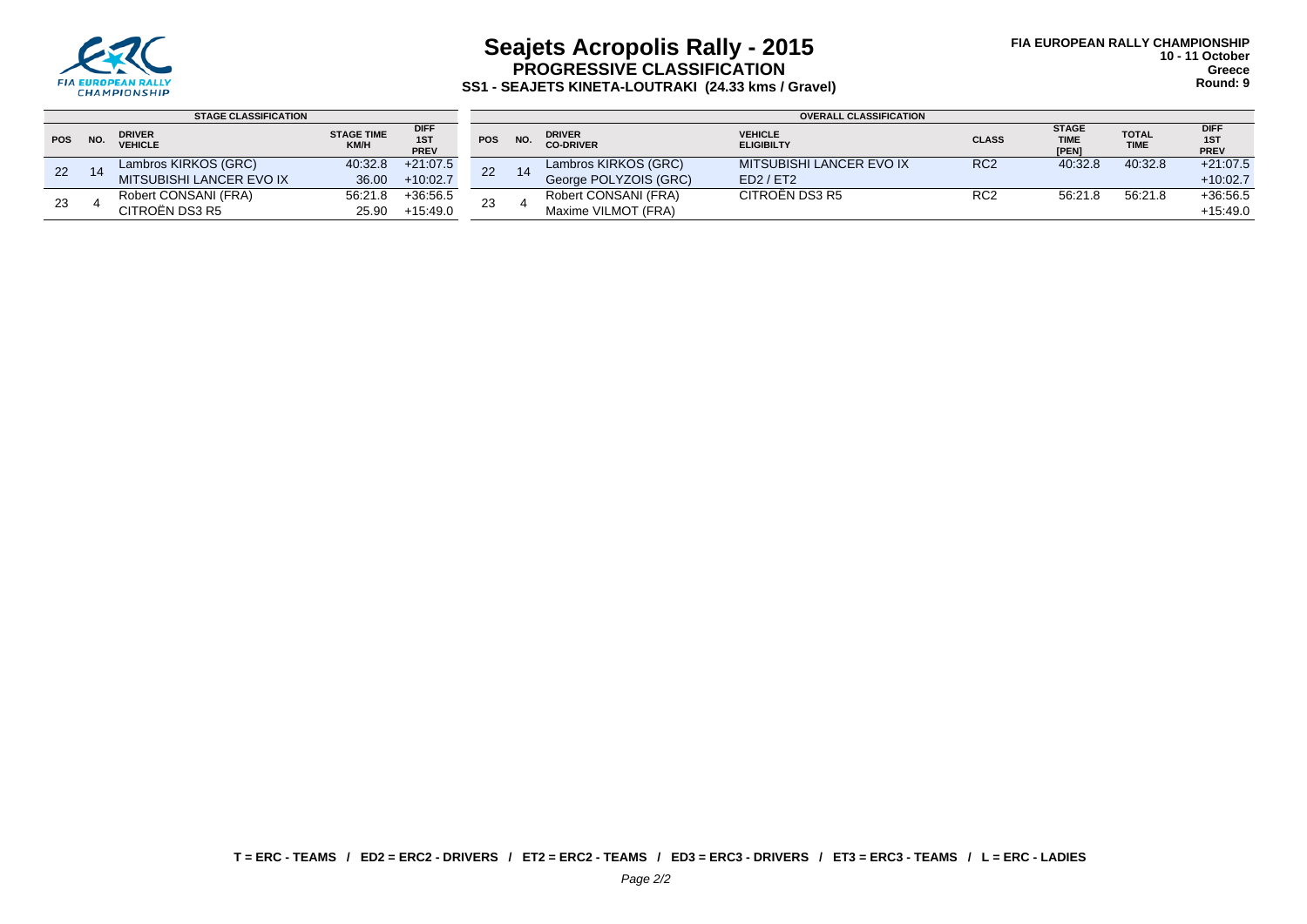

## **Seajets Acropolis Rally - 2015 PROGRESSIVE CLASSIFICATION SS1 - SEAJETS KINETA-LOUTRAKI (24.33 kms / Gravel)**

|            |     | <b>STAGE CLASSIFICATION</b>     |                           |                            | <b>OVERALL CLASSIFICATION</b> |     |                                   |                                     |                 |                                      |                             |                            |
|------------|-----|---------------------------------|---------------------------|----------------------------|-------------------------------|-----|-----------------------------------|-------------------------------------|-----------------|--------------------------------------|-----------------------------|----------------------------|
| <b>POS</b> | NO. | <b>DRIVER</b><br><b>VEHICLE</b> | <b>STAGE TIME</b><br>KM/H | <b>DIFF</b><br>1ST<br>PREV | <b>POS</b>                    | NO. | <b>DRIVER</b><br><b>CO-DRIVER</b> | <b>VEHICLE</b><br><b>ELIGIBILTY</b> | <b>CLASS</b>    | <b>STAGE</b><br><b>TIME</b><br>[PEN] | <b>TOTAL</b><br><b>TIME</b> | <b>DIFF</b><br>1ST<br>PREV |
| 22         |     | Lambros KIRKOS (GRC)            | 40:32.8                   | $+21:07.5$                 |                               | 14  | Lambros KIRKOS (GRC)              | MITSUBISHI LANCER EVO IX            | RC <sub>2</sub> | 40:32.8                              | 40:32.8                     | $+21:07.5$                 |
|            | 14  | MITSUBISHI LANCER EVO IX        | 36.00                     | $+10:02.7$                 | 22                            |     | George POLYZOIS (GRC)             | ED2 / ET2                           |                 |                                      |                             | $+10:02.7$                 |
| 23         |     | Robert CONSANI (FRA)            | 56:21.8                   | $+36.56.5$                 | 23                            |     | Robert CONSANI (FRA)              | CITROËN DS3 R5                      | RC <sub>2</sub> | 56:21.8                              | 56:21.8                     | $+36.56.5$                 |
|            |     | CITROËN DS3 R5                  | 25.90                     | $+15:49.0$                 |                               |     | Maxime VILMOT (FRA)               |                                     |                 |                                      |                             | $+15:49.0$                 |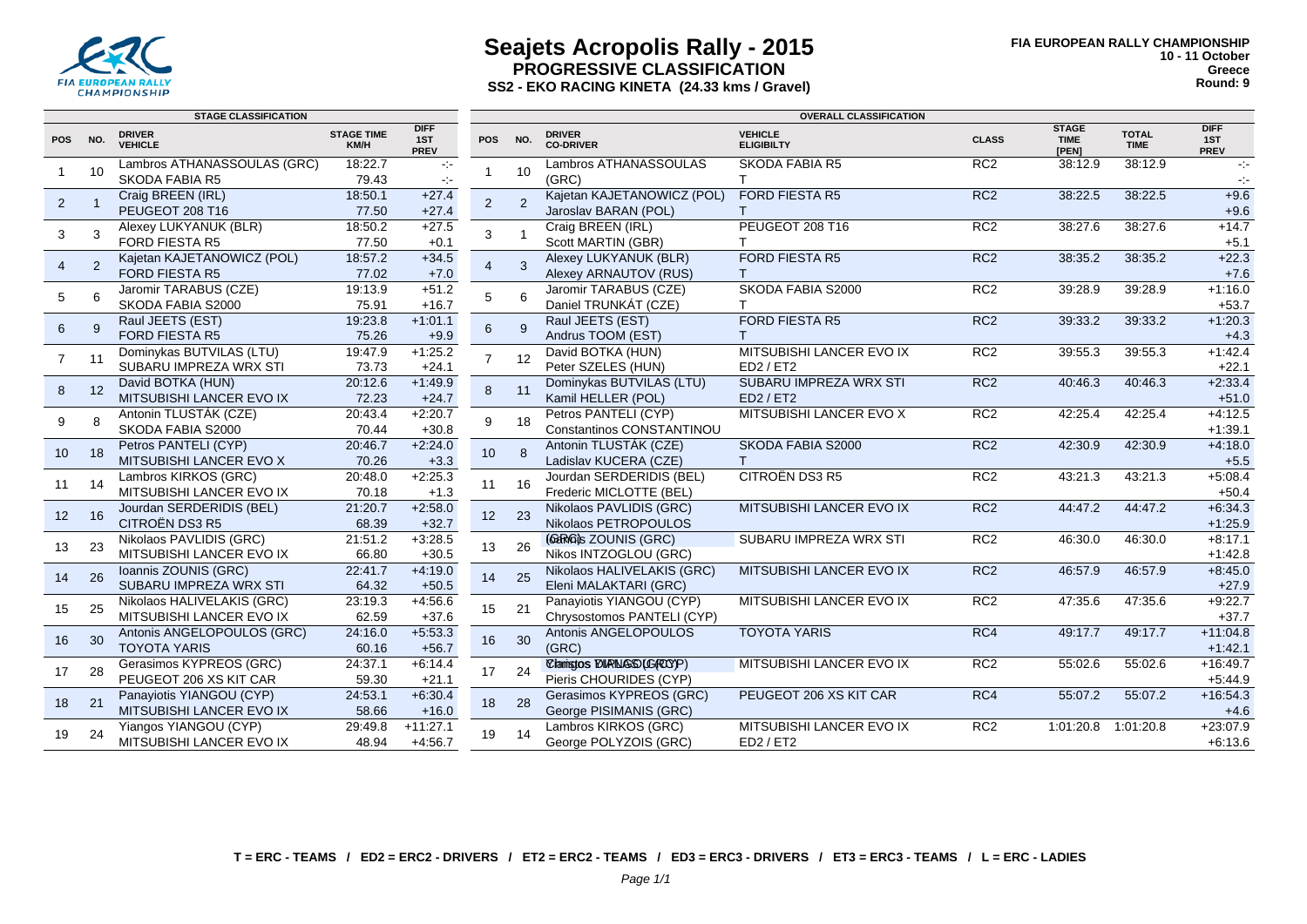

## **Seajets Acropolis Rally - 2015 PROGRESSIVE CLASSIFICATION SS2 - EKO RACING KINETA (24.33 kms / Gravel)**

|                 |                | <b>STAGE CLASSIFICATION</b>                          |                           |                                   | <b>OVERALL CLASSIFICATION</b> |                |                                                   |                                     |                 |                                      |                             |                                   |
|-----------------|----------------|------------------------------------------------------|---------------------------|-----------------------------------|-------------------------------|----------------|---------------------------------------------------|-------------------------------------|-----------------|--------------------------------------|-----------------------------|-----------------------------------|
| <b>POS</b>      | NO.            | <b>DRIVER</b><br><b>VEHICLE</b>                      | <b>STAGE TIME</b><br>KM/H | <b>DIFF</b><br>1ST<br><b>PREV</b> | <b>POS</b>                    | NO.            | <b>DRIVER</b><br><b>CO-DRIVER</b>                 | <b>VEHICLE</b><br><b>ELIGIBILTY</b> | <b>CLASS</b>    | <b>STAGE</b><br><b>TIME</b><br>[PEN] | <b>TOTAL</b><br><b>TIME</b> | <b>DIFF</b><br>1ST<br><b>PREV</b> |
|                 | 10             | Lambros ATHANASSOULAS (GRC)<br><b>SKODA FABIA R5</b> | 18:22.7<br>79.43          | $\sigma_{\rm eff}$<br>$\sim$      |                               | 10             | Lambros ATHANASSOULAS<br>(GRC)                    | <b>SKODA FABIA R5</b>               | RC <sub>2</sub> | 38:12.9                              | 38:12.9                     | $\sim 10$<br>$\sim$               |
|                 |                | Craig BREEN (IRL)                                    | 18:50.1                   | $+27.4$                           |                               |                | Kajetan KAJETANOWICZ (POL)                        | <b>FORD FIESTA R5</b>               | RC <sub>2</sub> | 38:22.5                              | 38:22.5                     | $+9.6$                            |
| $\overline{2}$  |                | PEUGEOT 208 T16                                      | 77.50                     | $+27.4$                           | $\overline{2}$                | $\overline{2}$ | Jaroslav BARAN (POL)                              |                                     |                 |                                      |                             | $+9.6$                            |
|                 |                | Alexey LUKYANUK (BLR)                                | 18:50.2                   | $+27.5$                           |                               |                | Craig BREEN (IRL)                                 | PEUGEOT 208 T16                     | RC <sub>2</sub> | 38:27.6                              | 38:27.6                     | $+14.7$                           |
| 3               | 3              | <b>FORD FIESTA R5</b>                                | 77.50                     | $+0.1$                            | 3                             |                | Scott MARTIN (GBR)                                |                                     |                 |                                      |                             | $+5.1$                            |
| $\overline{4}$  | $\overline{2}$ | Kajetan KAJETANOWICZ (POL)                           | 18:57.2                   | $+34.5$                           | $\overline{4}$                | 3              | Alexey LUKYANUK (BLR)                             | <b>FORD FIESTA R5</b>               | RC <sub>2</sub> | 38:35.2                              | 38:35.2                     | $+22.3$                           |
|                 |                | FORD FIESTA R5                                       | 77.02                     | $+7.0$                            |                               |                | Alexey ARNAUTOV (RUS)                             |                                     |                 |                                      |                             | $+7.6$                            |
| 5               | 6              | Jaromir TARABUS (CZE)                                | 19:13.9                   | $+51.2$                           | 5                             | 6              | Jaromir TARABUS (CZE)                             | SKODA FABIA S2000                   | RC2             | 39:28.9                              | 39:28.9                     | $+1:16.0$                         |
|                 |                | SKODA FABIA S2000                                    | 75.91                     | $+16.7$                           |                               |                | Daniel TRUNKÁT (CZE)                              |                                     |                 |                                      |                             | $+53.7$                           |
| $6\overline{6}$ | 9              | Raul JEETS (EST)                                     | 19:23.8                   | $+1:01.1$                         | $\,6\,$                       | 9              | Raul JEETS (EST)                                  | <b>FORD FIESTA R5</b>               | RC <sub>2</sub> | 39:33.2                              | 39:33.2                     | $+1:20.3$                         |
|                 |                | FORD FIESTA R5                                       | 75.26                     | $+9.9$                            |                               |                | Andrus TOOM (EST)                                 |                                     |                 |                                      |                             | $+4.3$                            |
| $\overline{7}$  | 11             | Dominykas BUTVILAS (LTU)                             | 19:47.9                   | $+1:25.2$                         | $\overline{7}$                | 12             | David BOTKA (HUN)                                 | MITSUBISHI LANCER EVO IX            | RC <sub>2</sub> | 39:55.3                              | 39:55.3                     | $+1:42.4$                         |
|                 |                | SUBARU IMPREZA WRX STI                               | 73.73                     | $+24.1$                           |                               |                | Peter SZELES (HUN)                                | ED2 / ET2                           |                 |                                      |                             | $+22.1$                           |
| 8               | 12             | David BOTKA (HUN)                                    | 20:12.6                   | $+1.49.9$                         | 8                             | 11             | Dominykas BUTVILAS (LTU)                          | SUBARU IMPREZA WRX STI              | RC <sub>2</sub> | 40:46.3                              | 40:46.3                     | $+2:33.4$                         |
|                 |                | MITSUBISHI LANCER EVO IX                             | 72.23                     | $+24.7$                           |                               |                | Kamil HELLER (POL)                                | ED2 / ET2                           |                 |                                      |                             | $+51.0$                           |
| 9               | 8              | Antonin TLUSTÁK (CZE)<br>SKODA FABIA S2000           | 20:43.4<br>70.44          | $+2:20.7$                         | 9                             | 18             | Petros PANTELI (CYP)<br>Constantinos CONSTANTINOU | MITSUBISHI LANCER EVO X             | RC <sub>2</sub> | 42:25.4                              | 42:25.4                     | $+4:12.5$                         |
|                 |                | Petros PANTELI (CYP)                                 | 20:46.7                   | $+30.8$<br>$+2:24.0$              |                               |                | Antonin TLUSTÁK (CZE)                             | SKODA FABIA S2000                   | RC <sub>2</sub> | 42:30.9                              | 42:30.9                     | $+1:39.1$<br>$+4.18.0$            |
| 10              | 18             | MITSUBISHI LANCER EVO X                              | 70.26                     | $+3.3$                            | 10                            | 8              | Ladislav KUCERA (CZE)                             | т                                   |                 |                                      |                             | $+5.5$                            |
|                 |                | Lambros KIRKOS (GRC)                                 | 20:48.0                   | $+2:25.3$                         |                               |                | Jourdan SERDERIDIS (BEL)                          | CITROËN DS3 R5                      | RC2             | 43:21.3                              | 43:21.3                     | $+5.08.4$                         |
| 11              | 14             | MITSUBISHI LANCER EVO IX                             | 70.18                     | $+1.3$                            | 11                            | 16             | Frederic MICLOTTE (BEL)                           |                                     |                 |                                      |                             | $+50.4$                           |
|                 |                | Jourdan SERDERIDIS (BEL)                             | 21:20.7                   | $+2:58.0$                         |                               |                | Nikolaos PAVLIDIS (GRC)                           | MITSUBISHI LANCER EVO IX            | RC <sub>2</sub> | 44:47.2                              | 44:47.2                     | $+6:34.3$                         |
| 12              | 16             | CITROËN DS3 R5                                       | 68.39                     | $+32.7$                           | 12                            | -23            | Nikolaos PETROPOULOS                              |                                     |                 |                                      |                             | $+1:25.9$                         |
|                 |                | Nikolaos PAVLIDIS (GRC)                              | 21:51.2                   | $+3:28.5$                         |                               |                | (GaRG)s ZOUNIS (GRC)                              | SUBARU IMPREZA WRX STI              | RC <sub>2</sub> | 46:30.0                              | 46:30.0                     | $+8:17.1$                         |
| 13              | 23             | MITSUBISHI LANCER EVO IX                             | 66.80                     | $+30.5$                           | 13                            | 26             | Nikos INTZOGLOU (GRC)                             |                                     |                 |                                      |                             | $+1:42.8$                         |
|                 |                | Ioannis ZOUNIS (GRC)                                 | 22:41.7                   | $+4:19.0$                         |                               |                | Nikolaos HALIVELAKIS (GRC)                        | MITSUBISHI LANCER EVO IX            | RC <sub>2</sub> | 46:57.9                              | 46:57.9                     | $+8:45.0$                         |
| 14              | 26             | SUBARU IMPREZA WRX STI                               | 64.32                     | $+50.5$                           | 14                            | 25             | Eleni MALAKTARI (GRC)                             |                                     |                 |                                      |                             | $+27.9$                           |
| 15              | 25             | Nikolaos HALIVELAKIS (GRC)                           | 23:19.3                   | $+4.56.6$                         | 15                            | 21             | Panayiotis YIANGOU (CYP)                          | MITSUBISHI LANCER EVO IX            | RC2             | 47:35.6                              | 47:35.6                     | $+9:22.7$                         |
|                 |                | MITSUBISHI LANCER EVO IX                             | 62.59                     | $+37.6$                           |                               |                | Chrysostomos PANTELI (CYP)                        |                                     |                 |                                      |                             | $+37.7$                           |
| 16              | 30             | Antonis ANGELOPOULOS (GRC)                           | 24:16.0                   | $+5:53.3$                         | 16                            | 30             | Antonis ANGELOPOULOS                              | <b>TOYOTA YARIS</b>                 | RC4             | 49:17.7                              | 49:17.7                     | $+11:04.8$                        |
|                 |                | <b>TOYOTA YARIS</b>                                  | 60.16                     | $+56.7$                           |                               |                | (GRC)                                             |                                     |                 |                                      |                             | $+1.42.1$                         |
| 17              | 28             | Gerasimos KYPREOS (GRC)                              | 24:37.1                   | $+6:14.4$                         | 17                            | 24             | Charistos DIRINGSO (G(ROY)P)                      | MITSUBISHI LANCER EVO IX            | RC2             | 55:02.6                              | 55:02.6                     | $+16.49.7$                        |
|                 |                | PEUGEOT 206 XS KIT CAR                               | 59.30                     | $+21.1$                           |                               |                | Pieris CHOURIDES (CYP)                            |                                     |                 |                                      |                             | $+5:44.9$                         |
| 18              | 21             | Panayiotis YIANGOU (CYP)                             | 24:53.1                   | $+6:30.4$                         | 18                            | 28             | Gerasimos KYPREOS (GRC)                           | PEUGEOT 206 XS KIT CAR              | RC4             | 55:07.2                              | 55:07.2                     | $+16.54.3$                        |
|                 |                | MITSUBISHI LANCER EVO IX                             | 58.66                     | $+16.0$                           |                               |                | George PISIMANIS (GRC)                            |                                     |                 |                                      |                             | $+4.6$                            |
| 19              | 24             | Yiangos YIANGOU (CYP)                                | 29:49.8                   | $+11:27.1$                        | 19                            | 14             | Lambros KIRKOS (GRC)                              | MITSUBISHI LANCER EVO IX            | RC <sub>2</sub> | 1:01:20.8                            | 1:01:20.8                   | $+23:07.9$                        |
|                 |                | MITSUBISHI LANCER EVO IX                             | 48.94                     | $+4:56.7$                         |                               |                | George POLYZOIS (GRC)                             | ED2 / ET2                           |                 |                                      |                             | $+6:13.6$                         |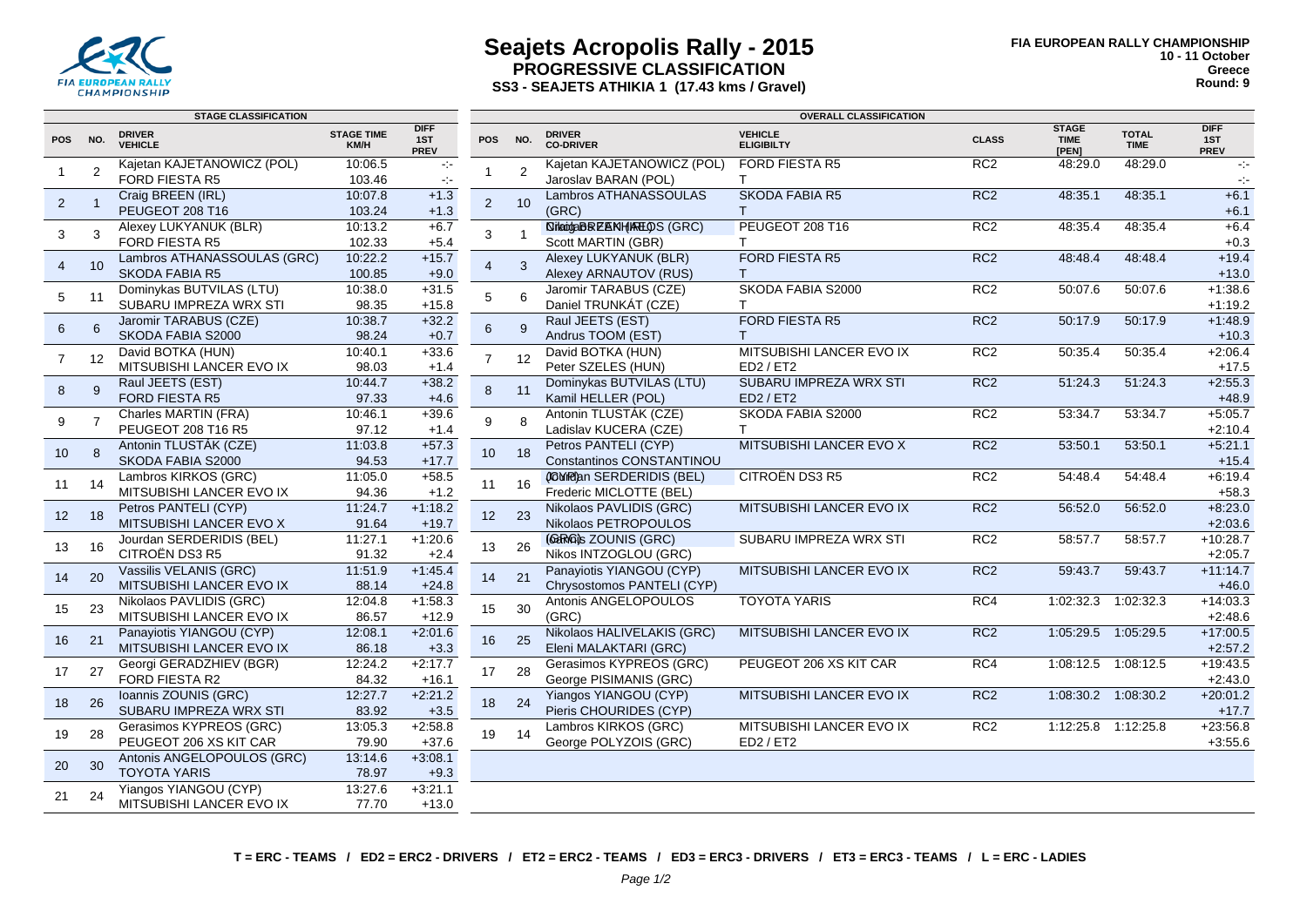

#### **Seajets Acropolis Rally - 2015 PROGRESSIVE CLASSIFICATION SS3 - SEAJETS ATHIKIA 1 (17.43 kms / Gravel)**

|                 |                | <b>STAGE CLASSIFICATION</b>               |                           |                                   | <b>OVERALL CLASSIFICATION</b> |                |                                                |                                     |                 |                                      |                             |                                   |  |
|-----------------|----------------|-------------------------------------------|---------------------------|-----------------------------------|-------------------------------|----------------|------------------------------------------------|-------------------------------------|-----------------|--------------------------------------|-----------------------------|-----------------------------------|--|
| <b>POS</b>      | NO.            | <b>DRIVER</b><br><b>VEHICLE</b>           | <b>STAGE TIME</b><br>KM/H | <b>DIFF</b><br>1ST<br><b>PREV</b> | <b>POS</b>                    | NO.            | <b>DRIVER</b><br><b>CO-DRIVER</b>              | <b>VEHICLE</b><br><b>ELIGIBILTY</b> | <b>CLASS</b>    | <b>STAGE</b><br><b>TIME</b><br>[PEN] | <b>TOTAL</b><br><b>TIME</b> | <b>DIFF</b><br>1ST<br><b>PREV</b> |  |
| $\overline{1}$  | 2              | Kajetan KAJETANOWICZ (POL)                | 10:06.5                   | $\sim$                            |                               | $\overline{2}$ | Kajetan KAJETANOWICZ (POL)                     | <b>FORD FIESTA R5</b>               | RC2             | 48:29.0                              | 48:29.0                     | $\sim$                            |  |
|                 |                | FORD FIESTA R5                            | 103.46                    | $\sim$                            |                               |                | Jaroslav BARAN (POL)                           | T.                                  |                 |                                      |                             | $\sigma_{\rm eff}$                |  |
| $\overline{2}$  |                | Craig BREEN (IRL)                         | 10:07.8                   | $+1.3$                            | $\overline{2}$                | 10             | Lambros ATHANASSOULAS                          | SKODA FABIA R5                      | RC <sub>2</sub> | 48:35.1                              | 48:35.1                     | $+6.1$                            |  |
|                 |                | PEUGEOT 208 T16                           | 103.24                    | $+1.3$                            |                               |                | (GRC)                                          | T.                                  |                 |                                      |                             | $+6.1$                            |  |
| 3               | 3              | Alexey LUKYANUK (BLR)                     | 10:13.2                   | $+6.7$                            | 3                             | $\overline{1}$ | <b><i><u>NikadaBREBNHIRTLOS</u></i></b> (GRC)  | PEUGEOT 208 T16                     | RC <sub>2</sub> | 48:35.4                              | 48:35.4                     | $+6.4$                            |  |
|                 |                | FORD FIESTA R5                            | 102.33                    | $+5.4$                            |                               |                | Scott MARTIN (GBR)                             | T.                                  |                 |                                      |                             | $+0.3$                            |  |
| $\overline{4}$  | 10             | Lambros ATHANASSOULAS (GRC)               | 10:22.2                   | $+15.7$                           | $\overline{4}$                | 3              | Alexey LUKYANUK (BLR)                          | <b>FORD FIESTA R5</b>               | RC2             | 48:48.4                              | 48:48.4                     | $+19.4$                           |  |
|                 |                | <b>SKODA FABIA R5</b>                     | 100.85                    | $+9.0$                            |                               |                | Alexey ARNAUTOV (RUS)                          | T.                                  |                 |                                      |                             | $+13.0$                           |  |
| 5               | 11             | Dominykas BUTVILAS (LTU)                  | 10:38.0                   | $+31.5$                           | 5                             | 6              | Jaromir TARABUS (CZE)                          | SKODA FABIA S2000                   | RC2             | 50:07.6                              | 50:07.6                     | $+1:38.6$                         |  |
|                 |                | SUBARU IMPREZA WRX STI                    | 98.35                     | $+15.8$                           |                               |                | Daniel TRUNKÁT (CZE)                           | T.                                  |                 |                                      |                             | $+1:19.2$                         |  |
| 6               | 6              | Jaromir TARABUS (CZE)                     | 10:38.7                   | $+32.2$                           | 6                             | $\mathbf{q}$   | Raul JEETS (EST)                               | FORD FIESTA R5                      | RC <sub>2</sub> | 50:17.9                              | 50:17.9                     | $+1:48.9$                         |  |
|                 |                | SKODA FABIA S2000                         | 98.24                     | $+0.7$                            |                               |                | Andrus TOOM (EST)                              | T.                                  |                 |                                      |                             | $+10.3$                           |  |
| $\overline{7}$  | 12             | David BOTKA (HUN)                         | 10:40.1                   | $+33.6$                           | $\overline{7}$                | 12             | David BOTKA (HUN)                              | MITSUBISHI LANCER EVO IX            | RC2             | 50:35.4                              | 50:35.4                     | $+2:06.4$                         |  |
|                 |                | MITSUBISHI LANCER EVO IX                  | 98.03                     | $+1.4$                            |                               |                | Peter SZELES (HUN)                             | ED2 / ET2<br>SUBARU IMPREZA WRX STI |                 |                                      |                             | $+17.5$                           |  |
| 8               | 9              | Raul JEETS (EST)<br><b>FORD FIESTA R5</b> | 10:44.7<br>97.33          | $+38.2$                           | $\bf 8$                       | 11             | Dominykas BUTVILAS (LTU)<br>Kamil HELLER (POL) | ED2 / ET2                           | RC <sub>2</sub> | 51:24.3                              | 51:24.3                     | $+2:55.3$<br>$+48.9$              |  |
|                 |                | Charles MARTIN (FRA)                      | 10:46.1                   | $+4.6$<br>$+39.6$                 |                               |                | Antonin TLUSTÁK (CZE)                          | SKODA FABIA S2000                   | RC <sub>2</sub> | 53:34.7                              | 53:34.7                     | $+5:05.7$                         |  |
| 9               | $\overline{7}$ | PEUGEOT 208 T16 R5                        | 97.12                     | $+1.4$                            | 9                             | 8              | Ladislav KUCERA (CZE)                          | T.                                  |                 |                                      |                             | $+2:10.4$                         |  |
|                 |                | Antonin TLUSTÁK (CZE)                     | 11:03.8                   | $+57.3$                           |                               |                | Petros PANTELI (CYP)                           | MITSUBISHI LANCER EVO X             | RC <sub>2</sub> | 53:50.1                              | 53:50.1                     | $+5:21.1$                         |  |
| 10 <sup>°</sup> | 8              | SKODA FABIA S2000                         | 94.53                     | $+17.7$                           | 10 <sup>1</sup>               | 18             | Constantinos CONSTANTINOU                      |                                     |                 |                                      |                             | $+15.4$                           |  |
|                 |                | Lambros KIRKOS (GRC)                      | 11:05.0                   | $+58.5$                           |                               |                | (GYR)an SERDERIDIS (BEL)                       | CITROËN DS3 R5                      | RC2             | 54:48.4                              | 54:48.4                     | $+6:19.4$                         |  |
| 11              | 14             | MITSUBISHI LANCER EVO IX                  | 94.36                     | $+1.2$                            | 11                            | 16             | Frederic MICLOTTE (BEL)                        |                                     |                 |                                      |                             | $+58.3$                           |  |
|                 |                | Petros PANTELI (CYP)                      | 11:24.7                   | $+1:18.2$                         |                               |                | Nikolaos PAVLIDIS (GRC)                        | MITSUBISHI LANCER EVO IX            | RC <sub>2</sub> | 56:52.0                              | 56:52.0                     | $+8:23.0$                         |  |
| 12              | 18             | <b>MITSUBISHI LANCER EVO X</b>            | 91.64                     | $+19.7$                           | 12                            | 23             | Nikolaos PETROPOULOS                           |                                     |                 |                                      |                             | $+2:03.6$                         |  |
|                 |                | Jourdan SERDERIDIS (BEL)                  | 11:27.1                   | $+1:20.6$                         |                               |                | (GERIGI)s ZOUNIS (GRC)                         | SUBARU IMPREZA WRX STI              | RC <sub>2</sub> | 58:57.7                              | 58:57.7                     | $+10:28.7$                        |  |
| 13              | 16             | CITROËN DS3 R5                            | 91.32                     | $+2.4$                            | 13                            | 26             | Nikos INTZOGLOU (GRC)                          |                                     |                 |                                      |                             | $+2:05.7$                         |  |
|                 |                | Vassilis VELANIS (GRC)                    | 11:51.9                   | $+1:45.4$                         |                               |                | Panayiotis YIANGOU (CYP)                       | MITSUBISHI LANCER EVO IX            | RC <sub>2</sub> | 59:43.7                              | 59:43.7                     | $+11:14.7$                        |  |
| 14              | 20             | MITSUBISHI LANCER EVO IX                  | 88.14                     | $+24.8$                           | 14                            | 21             | Chrysostomos PANTELI (CYP)                     |                                     |                 |                                      |                             | $+46.0$                           |  |
|                 |                | Nikolaos PAVLIDIS (GRC)                   | 12:04.8                   | $+1:58.3$                         |                               |                | Antonis ANGELOPOULOS                           | <b>TOYOTA YARIS</b>                 | RC4             | 1:02:32.3                            | 1:02:32.3                   | $+14:03.3$                        |  |
| 15              | 23             | MITSUBISHI LANCER EVO IX                  | 86.57                     | $+12.9$                           | 15                            | 30             | (GRC)                                          |                                     |                 |                                      |                             | $+2:48.6$                         |  |
|                 |                | Panayiotis YIANGOU (CYP)                  | 12:08.1                   | $+2:01.6$                         |                               |                | Nikolaos HALIVELAKIS (GRC)                     | MITSUBISHI LANCER EVO IX            | RC <sub>2</sub> | 1:05:29.5 1:05:29.5                  |                             | $+17:00.5$                        |  |
| 16              | 21             | MITSUBISHI LANCER EVO IX                  | 86.18                     | $+3.3$                            | 16                            | 25             | Eleni MALAKTARI (GRC)                          |                                     |                 |                                      |                             | $+2:57.2$                         |  |
|                 |                | Georgi GERADZHIEV (BGR)                   | 12:24.2                   | $+2:17.7$                         |                               |                | Gerasimos KYPREOS (GRC)                        | PEUGEOT 206 XS KIT CAR              | RC4             | 1:08:12.5                            | 1:08:12.5                   | $+19:43.5$                        |  |
| 17              | 27             | FORD FIESTA R2                            | 84.32                     | $+16.1$                           | 17                            | 28             | George PISIMANIS (GRC)                         |                                     |                 |                                      |                             | $+2:43.0$                         |  |
|                 |                | Ioannis ZOUNIS (GRC)                      | 12:27.7                   | $+2:21.2$                         |                               | 24             | Yiangos YIANGOU (CYP)                          | MITSUBISHI LANCER EVO IX            | RC <sub>2</sub> |                                      | 1:08:30.2 1:08:30.2         | $+20:01.2$                        |  |
| 18              | 26             | SUBARU IMPREZA WRX STI                    | 83.92                     | $+3.5$                            | 18                            |                | Pieris CHOURIDES (CYP)                         |                                     |                 |                                      |                             | $+17.7$                           |  |
|                 |                | Gerasimos KYPREOS (GRC)                   | 13:05.3                   | $+2:58.8$                         |                               |                | Lambros KIRKOS (GRC)                           | MITSUBISHI LANCER EVO IX            | RC <sub>2</sub> | 1:12:25.8  1:12:25.8                 |                             | $+23:56.8$                        |  |
| 19              | 28             | PEUGEOT 206 XS KIT CAR                    | 79.90                     | $+37.6$                           | 19                            | 14             | George POLYZOIS (GRC)                          | ED2 / ET2                           |                 |                                      |                             | $+3:55.6$                         |  |
|                 | 30             | Antonis ANGELOPOULOS (GRC)                | 13:14.6                   | $+3:08.1$                         |                               |                |                                                |                                     |                 |                                      |                             |                                   |  |
| 20              |                | <b>TOYOTA YARIS</b>                       | 78.97                     | $+9.3$                            |                               |                |                                                |                                     |                 |                                      |                             |                                   |  |
|                 | 24             | Yiangos YIANGOU (CYP)                     | 13:27.6                   | $+3:21.1$                         |                               |                |                                                |                                     |                 |                                      |                             |                                   |  |
| 21              |                | MITSUBISHI LANCER EVO IX                  | 77.70                     | $+13.0$                           |                               |                |                                                |                                     |                 |                                      |                             |                                   |  |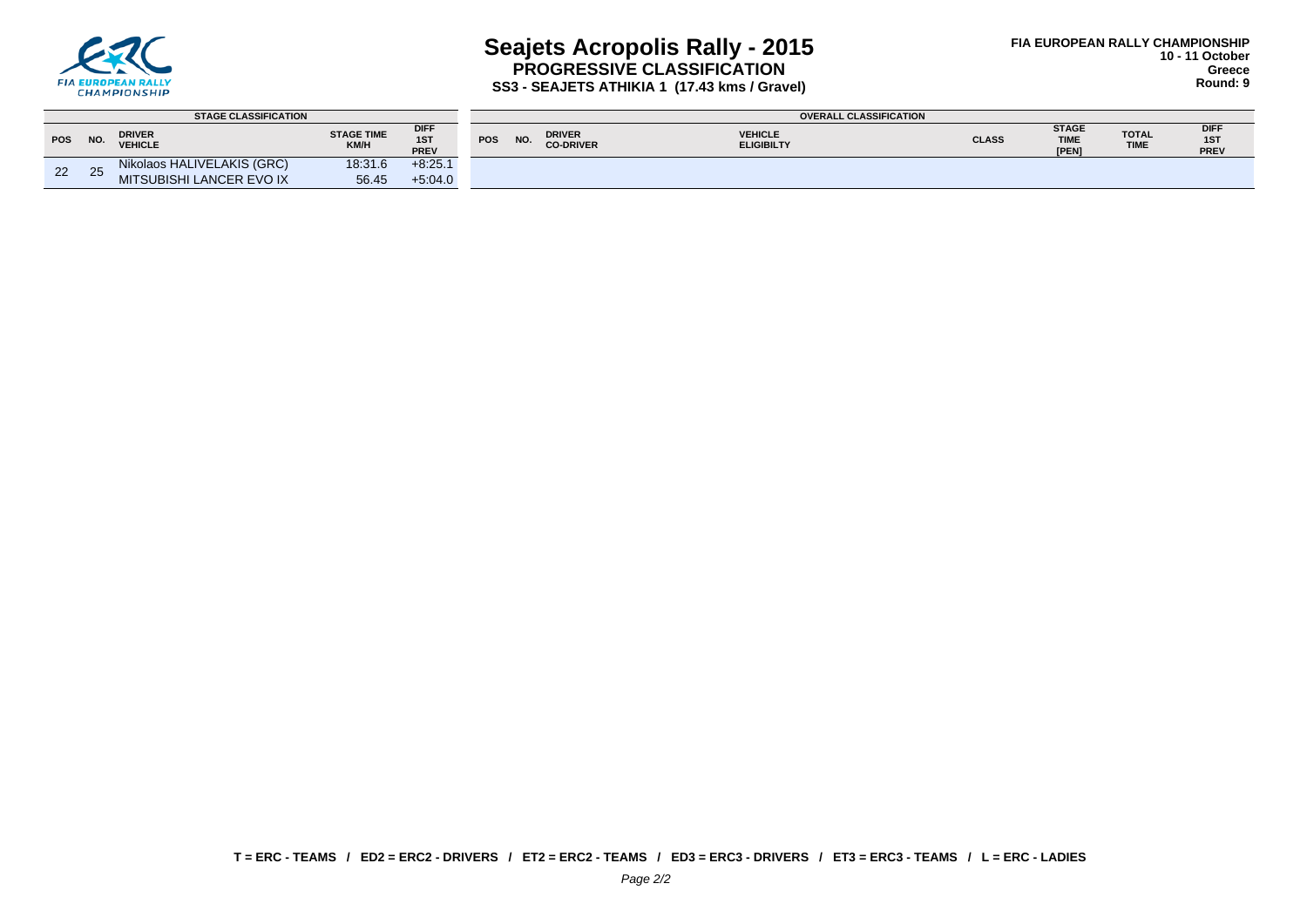

## **Seajets Acropolis Rally - 2015 PROGRESSIVE CLASSIFICATION SS3 - SEAJETS ATHIKIA 1 (17.43 kms / Gravel)**

|            |     | <b>STAGE CLASSIFICATION</b>     |                           |                            |            |     |                                   | <b>OVERALL CLASSIFICATION</b>       |              |                                      |                      |                     |
|------------|-----|---------------------------------|---------------------------|----------------------------|------------|-----|-----------------------------------|-------------------------------------|--------------|--------------------------------------|----------------------|---------------------|
| <b>POS</b> | NO. | <b>DRIVER</b><br><b>VEHICLE</b> | <b>STAGE TIME</b><br>KM/H | <b>DIFF</b><br>1ST<br>PREV | <b>POS</b> | NO. | <b>DRIVER</b><br><b>CO-DRIVER</b> | <b>VEHICLE</b><br><b>ELIGIBILTY</b> | <b>CLASS</b> | <b>STAGE</b><br><b>TIME</b><br>[PEN] | <b>TOTAL</b><br>TIME | DIFF<br>1ST<br>PREV |
| 22         | 25  | Nikolaos HALIVELAKIS (GRC)      | 18:31.6                   | $+8:25.1$                  |            |     |                                   |                                     |              |                                      |                      |                     |
|            |     | MITSUBISHI LANCER EVO IX        | 56.45                     | $+5.04.0$                  |            |     |                                   |                                     |              |                                      |                      |                     |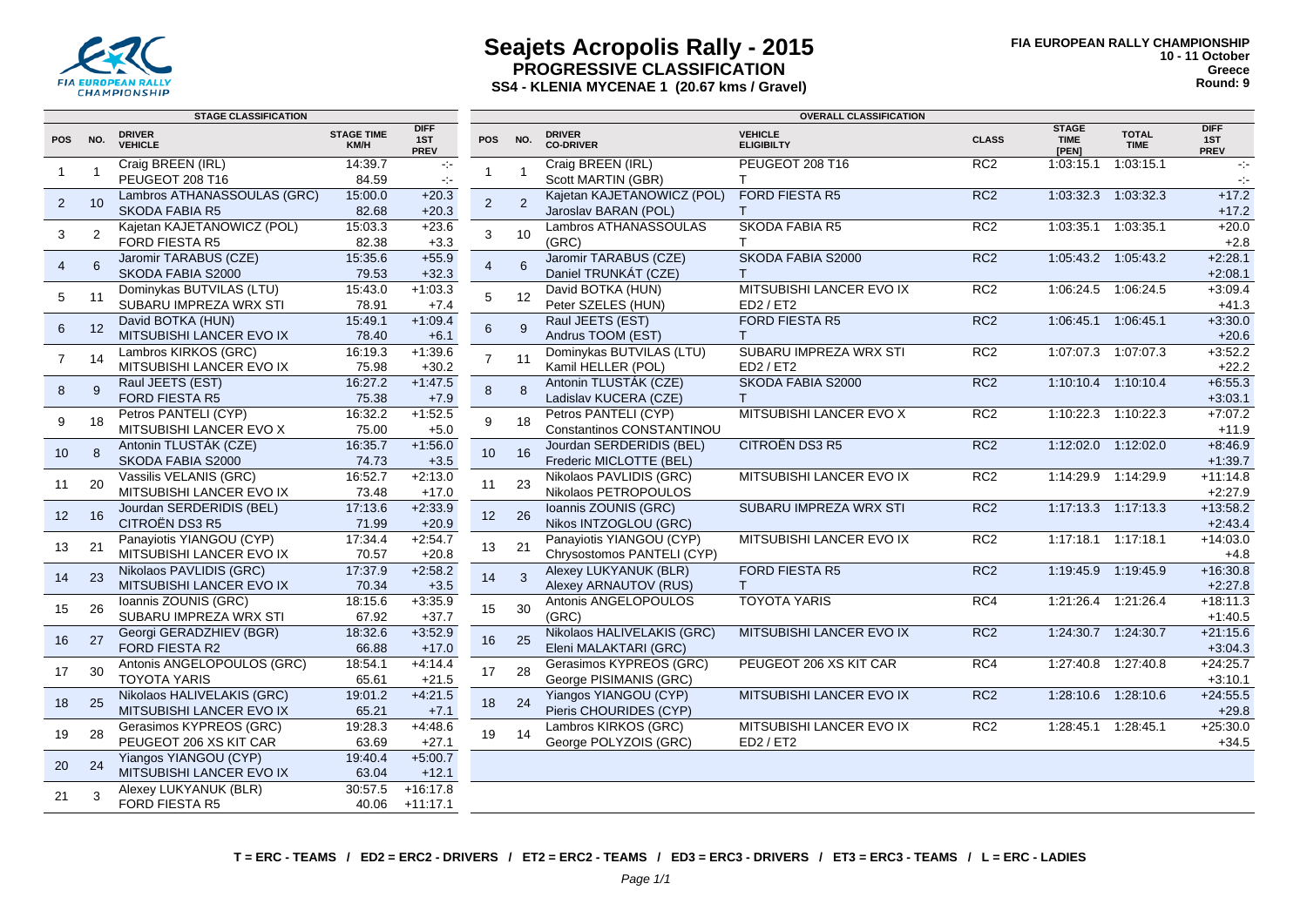

### **Seajets Acropolis Rally - 2015 PROGRESSIVE CLASSIFICATION SS4 - KLENIA MYCENAE 1 (20.67 kms / Gravel)**

| <b>DIFF</b><br><b>STAGE</b><br><b>VEHICLE</b><br><b>TOTAL</b><br><b>DRIVER</b><br><b>STAGE TIME</b><br><b>DRIVER</b><br><b>POS</b><br>NO.<br>1ST<br><b>POS</b><br>NO.<br><b>CLASS</b><br><b>TIME</b><br>1ST<br><b>CO-DRIVER</b><br><b>VEHICLE</b><br><b>ELIGIBILTY</b><br><b>TIME</b><br>KM/H<br><b>PREV</b><br>[PEN]<br>PREV<br>Craig BREEN (IRL)<br>Craig BREEN (IRL)<br>PEUGEOT 208 T16<br>RC2<br>14:39.7<br>1:03:15.1<br>1:03:15.1<br>$\sim$<br>$\sim 10$<br>$\overline{\mathbf{1}}$<br>$\mathbf{1}$<br>1<br>PEUGEOT 208 T16<br>Scott MARTIN (GBR)<br>84.59<br>$\mathsf{T}$<br>$\sim$<br>$\sim$<br>Lambros ATHANASSOULAS (GRC)<br><b>FORD FIESTA R5</b><br>Kajetan KAJETANOWICZ (POL)<br>RC <sub>2</sub><br>1:03:32.3  1:03:32.3<br>$+17.2$<br>15:00.0<br>$+20.3$<br>2<br>$\overline{2}$<br>10<br>$\overline{2}$<br><b>SKODA FABIA R5</b><br>Jaroslav BARAN (POL)<br>82.68<br>$+20.3$<br>$+17.2$<br>T.<br><b>SKODA FABIA R5</b><br>Kajetan KAJETANOWICZ (POL)<br>15:03.3<br>Lambros ATHANASSOULAS<br>RC <sub>2</sub><br>1:03:35.1<br>1:03:35.1<br>$+20.0$<br>$+23.6$<br>2<br>3<br>3<br>10<br><b>FORD FIESTA R5</b><br>(GRC)<br>82.38<br>$+2.8$<br>$+3.3$<br>T<br>Jaromir TARABUS (CZE)<br>SKODA FABIA S2000<br>RC2<br>Jaromir TARABUS (CZE)<br>15:35.6<br>$+55.9$<br>1:05:43.2  1:05:43.2<br>$+2:28.1$<br>6<br>4<br>6<br>$\overline{4}$<br>Daniel TRUNKÁT (CZE)<br>SKODA FABIA S2000<br>$+2:08.1$<br>79.53<br>$+32.3$<br>$\mathsf{T}$<br>$+1:03.3$<br>David BOTKA (HUN)<br>MITSUBISHI LANCER EVO IX<br>RC2<br>$+3:09.4$<br>Dominykas BUTVILAS (LTU)<br>15:43.0<br>1:06:24.5 1:06:24.5<br>5<br>12<br>5<br>11<br>SUBARU IMPREZA WRX STI<br>78.91<br>Peter SZELES (HUN)<br>ED2 / ET2<br>$+7.4$<br>$+41.3$<br>Raul JEETS (EST)<br><b>FORD FIESTA R5</b><br>David BOTKA (HUN)<br>15:49.1<br>$+1:09.4$<br>RC <sub>2</sub><br>1:06:45.1<br>1:06:45.1<br>$+3:30.0$<br>6<br>12<br>9<br>6<br>MITSUBISHI LANCER EVO IX<br>Andrus TOOM (EST)<br>$+20.6$<br>78.40<br>$+6.1$<br>$\mathsf{T}$<br>$+1:39.6$<br>SUBARU IMPREZA WRX STI<br>$+3.52.2$<br>Lambros KIRKOS (GRC)<br>16:19.3<br>Dominykas BUTVILAS (LTU)<br>RC <sub>2</sub><br>1:07:07.3<br>1:07:07.3<br>$\overline{7}$<br>$\overline{7}$<br>14<br>11<br>Kamil HELLER (POL)<br>MITSUBISHI LANCER EVO IX<br>75.98<br>ED2 / ET2<br>$+22.2$<br>$+30.2$<br>$+6:55.3$<br>16:27.2<br>$+1:47.5$<br>Antonin TLUSTÁK (CZE)<br>SKODA FABIA S2000<br>RC <sub>2</sub><br>1:10:10.4 1:10:10.4<br>Raul JEETS (EST)<br>$\bf 8$<br>8<br>8<br>9<br><b>FORD FIESTA R5</b><br>75.38<br>Ladislav KUCERA (CZE)<br>$+3:03.1$<br>$+7.9$<br>$\mathsf{T}$<br>16:32.2<br>$+1:52.5$<br>Petros PANTELI (CYP)<br>RC <sub>2</sub><br>$+7:07.2$<br>Petros PANTELI (CYP)<br>MITSUBISHI LANCER EVO X<br>1:10:22.3 1:10:22.3<br>9<br>9<br>18<br>18<br>MITSUBISHI LANCER EVO X<br>Constantinos CONSTANTINOU<br>75.00<br>$+11.9$<br>$+5.0$<br>$+1:56.0$<br><b>CITROËN DS3 R5</b><br>Antonin TLUSTÁK (CZE)<br>16:35.7<br>Jourdan SERDERIDIS (BEL)<br>RC <sub>2</sub><br>1:12:02.0 1:12:02.0<br>$+8:46.9$<br>10<br>8<br>10<br>16<br>SKODA FABIA S2000<br>Frederic MICLOTTE (BEL)<br>74.73<br>$+3.5$<br>$+1:39.7$<br>16:52.7<br>$+2:13.0$<br>Vassilis VELANIS (GRC)<br>Nikolaos PAVLIDIS (GRC)<br>MITSUBISHI LANCER EVO IX<br>RC <sub>2</sub><br>1:14:29.9 1:14:29.9<br>$+11:14.8$<br>23<br>20<br>11<br>11<br>MITSUBISHI LANCER EVO IX<br>Nikolaos PETROPOULOS<br>73.48<br>$+17.0$<br>$+2:27.9$<br>17:13.6<br>$+2:33.9$<br>Ioannis ZOUNIS (GRC)<br>SUBARU IMPREZA WRX STI<br>RC <sub>2</sub><br>1:17:13.3 1:17:13.3<br>$+13:58.2$<br>Jourdan SERDERIDIS (BEL)<br>16<br>12<br>26<br>12<br><b>CITROËN DS3 R5</b><br>Nikos INTZOGLOU (GRC)<br>71.99<br>$+20.9$<br>$+2:43.4$<br>$+2:54.7$<br>Panayiotis YIANGOU (CYP)<br>17:34.4<br>Panayiotis YIANGOU (CYP)<br>MITSUBISHI LANCER EVO IX<br>RC <sub>2</sub><br>1:17:18.1<br>1:17:18.1<br>$+14:03.0$<br>21<br>21<br>13<br>13<br>MITSUBISHI LANCER EVO IX<br>70.57<br>Chrysostomos PANTELI (CYP)<br>$+20.8$<br>$+4.8$<br>17:37.9<br>$+2:58.2$<br>FORD FIESTA R5<br>$+16:30.8$<br>Nikolaos PAVLIDIS (GRC)<br>Alexey LUKYANUK (BLR)<br>RC <sub>2</sub><br>1:19:45.9 1:19:45.9<br>14<br>$\overline{\mathbf{3}}$<br>23<br>14<br>MITSUBISHI LANCER EVO IX<br>70.34<br>Alexey ARNAUTOV (RUS)<br>$+3.5$<br>T<br>$+2:27.8$<br>Ioannis ZOUNIS (GRC)<br>18:15.6<br>$+3.35.9$<br>Antonis ANGELOPOULOS<br><b>TOYOTA YARIS</b><br>RC4<br>$+18:11.3$<br>1:21:26.4 1:21:26.4<br>30<br>26<br>15<br>15<br>SUBARU IMPREZA WRX STI<br>67.92<br>(GRC)<br>$+37.7$<br>$+1:40.5$<br>Nikolaos HALIVELAKIS (GRC)<br>18:32.6<br>$+3:52.9$<br>MITSUBISHI LANCER EVO IX<br>RC <sub>2</sub><br>$+21:15.6$<br>Georgi GERADZHIEV (BGR)<br>1:24:30.7<br>1:24:30.7<br>27<br>25<br>16<br>16<br>FORD FIESTA R2<br>Eleni MALAKTARI (GRC)<br>66.88<br>$+3:04.3$<br>$+17.0$<br>$+24:25.7$<br>Antonis ANGELOPOULOS (GRC)<br>18:54.1<br>$+4:14.4$<br>Gerasimos KYPREOS (GRC)<br>PEUGEOT 206 XS KIT CAR<br>RC4<br>1:27:40.8<br>1:27:40.8<br>30<br>17<br>28<br>17<br><b>TOYOTA YARIS</b><br>65.61<br>$+21.5$<br>George PISIMANIS (GRC)<br>$+3:10.1$<br>Nikolaos HALIVELAKIS (GRC)<br>RC <sub>2</sub><br>$+24:55.5$<br>19:01.2<br>$+4:21.5$<br>Yiangos YIANGOU (CYP)<br>MITSUBISHI LANCER EVO IX<br>1:28:10.6  1:28:10.6<br>25<br>18<br>24<br>18<br>Pieris CHOURIDES (CYP)<br>MITSUBISHI LANCER EVO IX<br>65.21<br>$+29.8$<br>$+7.1$<br>MITSUBISHI LANCER EVO IX<br>Gerasimos KYPREOS (GRC)<br>19:28.3<br>$+4:48.6$<br>Lambros KIRKOS (GRC)<br>RC <sub>2</sub><br>$+25:30.0$<br>1:28:45.1<br>1:28:45.1<br>14<br>19<br>28<br>19<br>PEUGEOT 206 XS KIT CAR<br>63.69<br>George POLYZOIS (GRC)<br>ED2 / ET2<br>$+27.1$<br>$+34.5$<br>$+5:00.7$<br>Yiangos YIANGOU (CYP)<br>19:40.4<br>24<br>20<br>MITSUBISHI LANCER EVO IX<br>$+12.1$<br>63.04<br>30:57.5<br>$+16:17.8$<br>Alexey LUKYANUK (BLR)<br>21<br>3<br>FORD FIESTA R5<br>40.06<br>$+11:17.1$ |  | <b>STAGE CLASSIFICATION</b> |  | <b>OVERALL CLASSIFICATION</b> |  |  |  |  |  |  |             |
|-------------------------------------------------------------------------------------------------------------------------------------------------------------------------------------------------------------------------------------------------------------------------------------------------------------------------------------------------------------------------------------------------------------------------------------------------------------------------------------------------------------------------------------------------------------------------------------------------------------------------------------------------------------------------------------------------------------------------------------------------------------------------------------------------------------------------------------------------------------------------------------------------------------------------------------------------------------------------------------------------------------------------------------------------------------------------------------------------------------------------------------------------------------------------------------------------------------------------------------------------------------------------------------------------------------------------------------------------------------------------------------------------------------------------------------------------------------------------------------------------------------------------------------------------------------------------------------------------------------------------------------------------------------------------------------------------------------------------------------------------------------------------------------------------------------------------------------------------------------------------------------------------------------------------------------------------------------------------------------------------------------------------------------------------------------------------------------------------------------------------------------------------------------------------------------------------------------------------------------------------------------------------------------------------------------------------------------------------------------------------------------------------------------------------------------------------------------------------------------------------------------------------------------------------------------------------------------------------------------------------------------------------------------------------------------------------------------------------------------------------------------------------------------------------------------------------------------------------------------------------------------------------------------------------------------------------------------------------------------------------------------------------------------------------------------------------------------------------------------------------------------------------------------------------------------------------------------------------------------------------------------------------------------------------------------------------------------------------------------------------------------------------------------------------------------------------------------------------------------------------------------------------------------------------------------------------------------------------------------------------------------------------------------------------------------------------------------------------------------------------------------------------------------------------------------------------------------------------------------------------------------------------------------------------------------------------------------------------------------------------------------------------------------------------------------------------------------------------------------------------------------------------------------------------------------------------------------------------------------------------------------------------------------------------------------------------------------------------------------------------------------------------------------------------------------------------------------------------------------------------------------------------------------------------------------------------------------------------------------------------------------------------------------------------------------------------------------------------------------------------------------------------------------------------------------------------------------------------------------------------------------------------------------------------------------------------------------------------------------------------------------------------------------------------------------------------------------------------------------------------------------------------------------------------------------------------------------------------------------------------------------------------------------------------------------------------------------------------------------------------------------------------------------------------------------------------------------------------------------------------------------------------------------------------------------------------------------------------------------------------------------------------------------------------------------------------------------------------------------------------------------------------------------------------------------------------------------------------------|--|-----------------------------|--|-------------------------------|--|--|--|--|--|--|-------------|
|                                                                                                                                                                                                                                                                                                                                                                                                                                                                                                                                                                                                                                                                                                                                                                                                                                                                                                                                                                                                                                                                                                                                                                                                                                                                                                                                                                                                                                                                                                                                                                                                                                                                                                                                                                                                                                                                                                                                                                                                                                                                                                                                                                                                                                                                                                                                                                                                                                                                                                                                                                                                                                                                                                                                                                                                                                                                                                                                                                                                                                                                                                                                                                                                                                                                                                                                                                                                                                                                                                                                                                                                                                                                                                                                                                                                                                                                                                                                                                                                                                                                                                                                                                                                                                                                                                                                                                                                                                                                                                                                                                                                                                                                                                                                                                                                                                                                                                                                                                                                                                                                                                                                                                                                                                                                                                                                                                                                                                                                                                                                                                                                                                                                                                                                                                                                                                                       |  |                             |  |                               |  |  |  |  |  |  | <b>DIFF</b> |
|                                                                                                                                                                                                                                                                                                                                                                                                                                                                                                                                                                                                                                                                                                                                                                                                                                                                                                                                                                                                                                                                                                                                                                                                                                                                                                                                                                                                                                                                                                                                                                                                                                                                                                                                                                                                                                                                                                                                                                                                                                                                                                                                                                                                                                                                                                                                                                                                                                                                                                                                                                                                                                                                                                                                                                                                                                                                                                                                                                                                                                                                                                                                                                                                                                                                                                                                                                                                                                                                                                                                                                                                                                                                                                                                                                                                                                                                                                                                                                                                                                                                                                                                                                                                                                                                                                                                                                                                                                                                                                                                                                                                                                                                                                                                                                                                                                                                                                                                                                                                                                                                                                                                                                                                                                                                                                                                                                                                                                                                                                                                                                                                                                                                                                                                                                                                                                                       |  |                             |  |                               |  |  |  |  |  |  |             |
|                                                                                                                                                                                                                                                                                                                                                                                                                                                                                                                                                                                                                                                                                                                                                                                                                                                                                                                                                                                                                                                                                                                                                                                                                                                                                                                                                                                                                                                                                                                                                                                                                                                                                                                                                                                                                                                                                                                                                                                                                                                                                                                                                                                                                                                                                                                                                                                                                                                                                                                                                                                                                                                                                                                                                                                                                                                                                                                                                                                                                                                                                                                                                                                                                                                                                                                                                                                                                                                                                                                                                                                                                                                                                                                                                                                                                                                                                                                                                                                                                                                                                                                                                                                                                                                                                                                                                                                                                                                                                                                                                                                                                                                                                                                                                                                                                                                                                                                                                                                                                                                                                                                                                                                                                                                                                                                                                                                                                                                                                                                                                                                                                                                                                                                                                                                                                                                       |  |                             |  |                               |  |  |  |  |  |  |             |
|                                                                                                                                                                                                                                                                                                                                                                                                                                                                                                                                                                                                                                                                                                                                                                                                                                                                                                                                                                                                                                                                                                                                                                                                                                                                                                                                                                                                                                                                                                                                                                                                                                                                                                                                                                                                                                                                                                                                                                                                                                                                                                                                                                                                                                                                                                                                                                                                                                                                                                                                                                                                                                                                                                                                                                                                                                                                                                                                                                                                                                                                                                                                                                                                                                                                                                                                                                                                                                                                                                                                                                                                                                                                                                                                                                                                                                                                                                                                                                                                                                                                                                                                                                                                                                                                                                                                                                                                                                                                                                                                                                                                                                                                                                                                                                                                                                                                                                                                                                                                                                                                                                                                                                                                                                                                                                                                                                                                                                                                                                                                                                                                                                                                                                                                                                                                                                                       |  |                             |  |                               |  |  |  |  |  |  |             |
|                                                                                                                                                                                                                                                                                                                                                                                                                                                                                                                                                                                                                                                                                                                                                                                                                                                                                                                                                                                                                                                                                                                                                                                                                                                                                                                                                                                                                                                                                                                                                                                                                                                                                                                                                                                                                                                                                                                                                                                                                                                                                                                                                                                                                                                                                                                                                                                                                                                                                                                                                                                                                                                                                                                                                                                                                                                                                                                                                                                                                                                                                                                                                                                                                                                                                                                                                                                                                                                                                                                                                                                                                                                                                                                                                                                                                                                                                                                                                                                                                                                                                                                                                                                                                                                                                                                                                                                                                                                                                                                                                                                                                                                                                                                                                                                                                                                                                                                                                                                                                                                                                                                                                                                                                                                                                                                                                                                                                                                                                                                                                                                                                                                                                                                                                                                                                                                       |  |                             |  |                               |  |  |  |  |  |  |             |
|                                                                                                                                                                                                                                                                                                                                                                                                                                                                                                                                                                                                                                                                                                                                                                                                                                                                                                                                                                                                                                                                                                                                                                                                                                                                                                                                                                                                                                                                                                                                                                                                                                                                                                                                                                                                                                                                                                                                                                                                                                                                                                                                                                                                                                                                                                                                                                                                                                                                                                                                                                                                                                                                                                                                                                                                                                                                                                                                                                                                                                                                                                                                                                                                                                                                                                                                                                                                                                                                                                                                                                                                                                                                                                                                                                                                                                                                                                                                                                                                                                                                                                                                                                                                                                                                                                                                                                                                                                                                                                                                                                                                                                                                                                                                                                                                                                                                                                                                                                                                                                                                                                                                                                                                                                                                                                                                                                                                                                                                                                                                                                                                                                                                                                                                                                                                                                                       |  |                             |  |                               |  |  |  |  |  |  |             |
|                                                                                                                                                                                                                                                                                                                                                                                                                                                                                                                                                                                                                                                                                                                                                                                                                                                                                                                                                                                                                                                                                                                                                                                                                                                                                                                                                                                                                                                                                                                                                                                                                                                                                                                                                                                                                                                                                                                                                                                                                                                                                                                                                                                                                                                                                                                                                                                                                                                                                                                                                                                                                                                                                                                                                                                                                                                                                                                                                                                                                                                                                                                                                                                                                                                                                                                                                                                                                                                                                                                                                                                                                                                                                                                                                                                                                                                                                                                                                                                                                                                                                                                                                                                                                                                                                                                                                                                                                                                                                                                                                                                                                                                                                                                                                                                                                                                                                                                                                                                                                                                                                                                                                                                                                                                                                                                                                                                                                                                                                                                                                                                                                                                                                                                                                                                                                                                       |  |                             |  |                               |  |  |  |  |  |  |             |
|                                                                                                                                                                                                                                                                                                                                                                                                                                                                                                                                                                                                                                                                                                                                                                                                                                                                                                                                                                                                                                                                                                                                                                                                                                                                                                                                                                                                                                                                                                                                                                                                                                                                                                                                                                                                                                                                                                                                                                                                                                                                                                                                                                                                                                                                                                                                                                                                                                                                                                                                                                                                                                                                                                                                                                                                                                                                                                                                                                                                                                                                                                                                                                                                                                                                                                                                                                                                                                                                                                                                                                                                                                                                                                                                                                                                                                                                                                                                                                                                                                                                                                                                                                                                                                                                                                                                                                                                                                                                                                                                                                                                                                                                                                                                                                                                                                                                                                                                                                                                                                                                                                                                                                                                                                                                                                                                                                                                                                                                                                                                                                                                                                                                                                                                                                                                                                                       |  |                             |  |                               |  |  |  |  |  |  |             |
|                                                                                                                                                                                                                                                                                                                                                                                                                                                                                                                                                                                                                                                                                                                                                                                                                                                                                                                                                                                                                                                                                                                                                                                                                                                                                                                                                                                                                                                                                                                                                                                                                                                                                                                                                                                                                                                                                                                                                                                                                                                                                                                                                                                                                                                                                                                                                                                                                                                                                                                                                                                                                                                                                                                                                                                                                                                                                                                                                                                                                                                                                                                                                                                                                                                                                                                                                                                                                                                                                                                                                                                                                                                                                                                                                                                                                                                                                                                                                                                                                                                                                                                                                                                                                                                                                                                                                                                                                                                                                                                                                                                                                                                                                                                                                                                                                                                                                                                                                                                                                                                                                                                                                                                                                                                                                                                                                                                                                                                                                                                                                                                                                                                                                                                                                                                                                                                       |  |                             |  |                               |  |  |  |  |  |  |             |
|                                                                                                                                                                                                                                                                                                                                                                                                                                                                                                                                                                                                                                                                                                                                                                                                                                                                                                                                                                                                                                                                                                                                                                                                                                                                                                                                                                                                                                                                                                                                                                                                                                                                                                                                                                                                                                                                                                                                                                                                                                                                                                                                                                                                                                                                                                                                                                                                                                                                                                                                                                                                                                                                                                                                                                                                                                                                                                                                                                                                                                                                                                                                                                                                                                                                                                                                                                                                                                                                                                                                                                                                                                                                                                                                                                                                                                                                                                                                                                                                                                                                                                                                                                                                                                                                                                                                                                                                                                                                                                                                                                                                                                                                                                                                                                                                                                                                                                                                                                                                                                                                                                                                                                                                                                                                                                                                                                                                                                                                                                                                                                                                                                                                                                                                                                                                                                                       |  |                             |  |                               |  |  |  |  |  |  |             |
|                                                                                                                                                                                                                                                                                                                                                                                                                                                                                                                                                                                                                                                                                                                                                                                                                                                                                                                                                                                                                                                                                                                                                                                                                                                                                                                                                                                                                                                                                                                                                                                                                                                                                                                                                                                                                                                                                                                                                                                                                                                                                                                                                                                                                                                                                                                                                                                                                                                                                                                                                                                                                                                                                                                                                                                                                                                                                                                                                                                                                                                                                                                                                                                                                                                                                                                                                                                                                                                                                                                                                                                                                                                                                                                                                                                                                                                                                                                                                                                                                                                                                                                                                                                                                                                                                                                                                                                                                                                                                                                                                                                                                                                                                                                                                                                                                                                                                                                                                                                                                                                                                                                                                                                                                                                                                                                                                                                                                                                                                                                                                                                                                                                                                                                                                                                                                                                       |  |                             |  |                               |  |  |  |  |  |  |             |
|                                                                                                                                                                                                                                                                                                                                                                                                                                                                                                                                                                                                                                                                                                                                                                                                                                                                                                                                                                                                                                                                                                                                                                                                                                                                                                                                                                                                                                                                                                                                                                                                                                                                                                                                                                                                                                                                                                                                                                                                                                                                                                                                                                                                                                                                                                                                                                                                                                                                                                                                                                                                                                                                                                                                                                                                                                                                                                                                                                                                                                                                                                                                                                                                                                                                                                                                                                                                                                                                                                                                                                                                                                                                                                                                                                                                                                                                                                                                                                                                                                                                                                                                                                                                                                                                                                                                                                                                                                                                                                                                                                                                                                                                                                                                                                                                                                                                                                                                                                                                                                                                                                                                                                                                                                                                                                                                                                                                                                                                                                                                                                                                                                                                                                                                                                                                                                                       |  |                             |  |                               |  |  |  |  |  |  |             |
|                                                                                                                                                                                                                                                                                                                                                                                                                                                                                                                                                                                                                                                                                                                                                                                                                                                                                                                                                                                                                                                                                                                                                                                                                                                                                                                                                                                                                                                                                                                                                                                                                                                                                                                                                                                                                                                                                                                                                                                                                                                                                                                                                                                                                                                                                                                                                                                                                                                                                                                                                                                                                                                                                                                                                                                                                                                                                                                                                                                                                                                                                                                                                                                                                                                                                                                                                                                                                                                                                                                                                                                                                                                                                                                                                                                                                                                                                                                                                                                                                                                                                                                                                                                                                                                                                                                                                                                                                                                                                                                                                                                                                                                                                                                                                                                                                                                                                                                                                                                                                                                                                                                                                                                                                                                                                                                                                                                                                                                                                                                                                                                                                                                                                                                                                                                                                                                       |  |                             |  |                               |  |  |  |  |  |  |             |
|                                                                                                                                                                                                                                                                                                                                                                                                                                                                                                                                                                                                                                                                                                                                                                                                                                                                                                                                                                                                                                                                                                                                                                                                                                                                                                                                                                                                                                                                                                                                                                                                                                                                                                                                                                                                                                                                                                                                                                                                                                                                                                                                                                                                                                                                                                                                                                                                                                                                                                                                                                                                                                                                                                                                                                                                                                                                                                                                                                                                                                                                                                                                                                                                                                                                                                                                                                                                                                                                                                                                                                                                                                                                                                                                                                                                                                                                                                                                                                                                                                                                                                                                                                                                                                                                                                                                                                                                                                                                                                                                                                                                                                                                                                                                                                                                                                                                                                                                                                                                                                                                                                                                                                                                                                                                                                                                                                                                                                                                                                                                                                                                                                                                                                                                                                                                                                                       |  |                             |  |                               |  |  |  |  |  |  |             |
|                                                                                                                                                                                                                                                                                                                                                                                                                                                                                                                                                                                                                                                                                                                                                                                                                                                                                                                                                                                                                                                                                                                                                                                                                                                                                                                                                                                                                                                                                                                                                                                                                                                                                                                                                                                                                                                                                                                                                                                                                                                                                                                                                                                                                                                                                                                                                                                                                                                                                                                                                                                                                                                                                                                                                                                                                                                                                                                                                                                                                                                                                                                                                                                                                                                                                                                                                                                                                                                                                                                                                                                                                                                                                                                                                                                                                                                                                                                                                                                                                                                                                                                                                                                                                                                                                                                                                                                                                                                                                                                                                                                                                                                                                                                                                                                                                                                                                                                                                                                                                                                                                                                                                                                                                                                                                                                                                                                                                                                                                                                                                                                                                                                                                                                                                                                                                                                       |  |                             |  |                               |  |  |  |  |  |  |             |
|                                                                                                                                                                                                                                                                                                                                                                                                                                                                                                                                                                                                                                                                                                                                                                                                                                                                                                                                                                                                                                                                                                                                                                                                                                                                                                                                                                                                                                                                                                                                                                                                                                                                                                                                                                                                                                                                                                                                                                                                                                                                                                                                                                                                                                                                                                                                                                                                                                                                                                                                                                                                                                                                                                                                                                                                                                                                                                                                                                                                                                                                                                                                                                                                                                                                                                                                                                                                                                                                                                                                                                                                                                                                                                                                                                                                                                                                                                                                                                                                                                                                                                                                                                                                                                                                                                                                                                                                                                                                                                                                                                                                                                                                                                                                                                                                                                                                                                                                                                                                                                                                                                                                                                                                                                                                                                                                                                                                                                                                                                                                                                                                                                                                                                                                                                                                                                                       |  |                             |  |                               |  |  |  |  |  |  |             |
|                                                                                                                                                                                                                                                                                                                                                                                                                                                                                                                                                                                                                                                                                                                                                                                                                                                                                                                                                                                                                                                                                                                                                                                                                                                                                                                                                                                                                                                                                                                                                                                                                                                                                                                                                                                                                                                                                                                                                                                                                                                                                                                                                                                                                                                                                                                                                                                                                                                                                                                                                                                                                                                                                                                                                                                                                                                                                                                                                                                                                                                                                                                                                                                                                                                                                                                                                                                                                                                                                                                                                                                                                                                                                                                                                                                                                                                                                                                                                                                                                                                                                                                                                                                                                                                                                                                                                                                                                                                                                                                                                                                                                                                                                                                                                                                                                                                                                                                                                                                                                                                                                                                                                                                                                                                                                                                                                                                                                                                                                                                                                                                                                                                                                                                                                                                                                                                       |  |                             |  |                               |  |  |  |  |  |  |             |
|                                                                                                                                                                                                                                                                                                                                                                                                                                                                                                                                                                                                                                                                                                                                                                                                                                                                                                                                                                                                                                                                                                                                                                                                                                                                                                                                                                                                                                                                                                                                                                                                                                                                                                                                                                                                                                                                                                                                                                                                                                                                                                                                                                                                                                                                                                                                                                                                                                                                                                                                                                                                                                                                                                                                                                                                                                                                                                                                                                                                                                                                                                                                                                                                                                                                                                                                                                                                                                                                                                                                                                                                                                                                                                                                                                                                                                                                                                                                                                                                                                                                                                                                                                                                                                                                                                                                                                                                                                                                                                                                                                                                                                                                                                                                                                                                                                                                                                                                                                                                                                                                                                                                                                                                                                                                                                                                                                                                                                                                                                                                                                                                                                                                                                                                                                                                                                                       |  |                             |  |                               |  |  |  |  |  |  |             |
|                                                                                                                                                                                                                                                                                                                                                                                                                                                                                                                                                                                                                                                                                                                                                                                                                                                                                                                                                                                                                                                                                                                                                                                                                                                                                                                                                                                                                                                                                                                                                                                                                                                                                                                                                                                                                                                                                                                                                                                                                                                                                                                                                                                                                                                                                                                                                                                                                                                                                                                                                                                                                                                                                                                                                                                                                                                                                                                                                                                                                                                                                                                                                                                                                                                                                                                                                                                                                                                                                                                                                                                                                                                                                                                                                                                                                                                                                                                                                                                                                                                                                                                                                                                                                                                                                                                                                                                                                                                                                                                                                                                                                                                                                                                                                                                                                                                                                                                                                                                                                                                                                                                                                                                                                                                                                                                                                                                                                                                                                                                                                                                                                                                                                                                                                                                                                                                       |  |                             |  |                               |  |  |  |  |  |  |             |
|                                                                                                                                                                                                                                                                                                                                                                                                                                                                                                                                                                                                                                                                                                                                                                                                                                                                                                                                                                                                                                                                                                                                                                                                                                                                                                                                                                                                                                                                                                                                                                                                                                                                                                                                                                                                                                                                                                                                                                                                                                                                                                                                                                                                                                                                                                                                                                                                                                                                                                                                                                                                                                                                                                                                                                                                                                                                                                                                                                                                                                                                                                                                                                                                                                                                                                                                                                                                                                                                                                                                                                                                                                                                                                                                                                                                                                                                                                                                                                                                                                                                                                                                                                                                                                                                                                                                                                                                                                                                                                                                                                                                                                                                                                                                                                                                                                                                                                                                                                                                                                                                                                                                                                                                                                                                                                                                                                                                                                                                                                                                                                                                                                                                                                                                                                                                                                                       |  |                             |  |                               |  |  |  |  |  |  |             |
|                                                                                                                                                                                                                                                                                                                                                                                                                                                                                                                                                                                                                                                                                                                                                                                                                                                                                                                                                                                                                                                                                                                                                                                                                                                                                                                                                                                                                                                                                                                                                                                                                                                                                                                                                                                                                                                                                                                                                                                                                                                                                                                                                                                                                                                                                                                                                                                                                                                                                                                                                                                                                                                                                                                                                                                                                                                                                                                                                                                                                                                                                                                                                                                                                                                                                                                                                                                                                                                                                                                                                                                                                                                                                                                                                                                                                                                                                                                                                                                                                                                                                                                                                                                                                                                                                                                                                                                                                                                                                                                                                                                                                                                                                                                                                                                                                                                                                                                                                                                                                                                                                                                                                                                                                                                                                                                                                                                                                                                                                                                                                                                                                                                                                                                                                                                                                                                       |  |                             |  |                               |  |  |  |  |  |  |             |
|                                                                                                                                                                                                                                                                                                                                                                                                                                                                                                                                                                                                                                                                                                                                                                                                                                                                                                                                                                                                                                                                                                                                                                                                                                                                                                                                                                                                                                                                                                                                                                                                                                                                                                                                                                                                                                                                                                                                                                                                                                                                                                                                                                                                                                                                                                                                                                                                                                                                                                                                                                                                                                                                                                                                                                                                                                                                                                                                                                                                                                                                                                                                                                                                                                                                                                                                                                                                                                                                                                                                                                                                                                                                                                                                                                                                                                                                                                                                                                                                                                                                                                                                                                                                                                                                                                                                                                                                                                                                                                                                                                                                                                                                                                                                                                                                                                                                                                                                                                                                                                                                                                                                                                                                                                                                                                                                                                                                                                                                                                                                                                                                                                                                                                                                                                                                                                                       |  |                             |  |                               |  |  |  |  |  |  |             |
|                                                                                                                                                                                                                                                                                                                                                                                                                                                                                                                                                                                                                                                                                                                                                                                                                                                                                                                                                                                                                                                                                                                                                                                                                                                                                                                                                                                                                                                                                                                                                                                                                                                                                                                                                                                                                                                                                                                                                                                                                                                                                                                                                                                                                                                                                                                                                                                                                                                                                                                                                                                                                                                                                                                                                                                                                                                                                                                                                                                                                                                                                                                                                                                                                                                                                                                                                                                                                                                                                                                                                                                                                                                                                                                                                                                                                                                                                                                                                                                                                                                                                                                                                                                                                                                                                                                                                                                                                                                                                                                                                                                                                                                                                                                                                                                                                                                                                                                                                                                                                                                                                                                                                                                                                                                                                                                                                                                                                                                                                                                                                                                                                                                                                                                                                                                                                                                       |  |                             |  |                               |  |  |  |  |  |  |             |
|                                                                                                                                                                                                                                                                                                                                                                                                                                                                                                                                                                                                                                                                                                                                                                                                                                                                                                                                                                                                                                                                                                                                                                                                                                                                                                                                                                                                                                                                                                                                                                                                                                                                                                                                                                                                                                                                                                                                                                                                                                                                                                                                                                                                                                                                                                                                                                                                                                                                                                                                                                                                                                                                                                                                                                                                                                                                                                                                                                                                                                                                                                                                                                                                                                                                                                                                                                                                                                                                                                                                                                                                                                                                                                                                                                                                                                                                                                                                                                                                                                                                                                                                                                                                                                                                                                                                                                                                                                                                                                                                                                                                                                                                                                                                                                                                                                                                                                                                                                                                                                                                                                                                                                                                                                                                                                                                                                                                                                                                                                                                                                                                                                                                                                                                                                                                                                                       |  |                             |  |                               |  |  |  |  |  |  |             |
|                                                                                                                                                                                                                                                                                                                                                                                                                                                                                                                                                                                                                                                                                                                                                                                                                                                                                                                                                                                                                                                                                                                                                                                                                                                                                                                                                                                                                                                                                                                                                                                                                                                                                                                                                                                                                                                                                                                                                                                                                                                                                                                                                                                                                                                                                                                                                                                                                                                                                                                                                                                                                                                                                                                                                                                                                                                                                                                                                                                                                                                                                                                                                                                                                                                                                                                                                                                                                                                                                                                                                                                                                                                                                                                                                                                                                                                                                                                                                                                                                                                                                                                                                                                                                                                                                                                                                                                                                                                                                                                                                                                                                                                                                                                                                                                                                                                                                                                                                                                                                                                                                                                                                                                                                                                                                                                                                                                                                                                                                                                                                                                                                                                                                                                                                                                                                                                       |  |                             |  |                               |  |  |  |  |  |  |             |
|                                                                                                                                                                                                                                                                                                                                                                                                                                                                                                                                                                                                                                                                                                                                                                                                                                                                                                                                                                                                                                                                                                                                                                                                                                                                                                                                                                                                                                                                                                                                                                                                                                                                                                                                                                                                                                                                                                                                                                                                                                                                                                                                                                                                                                                                                                                                                                                                                                                                                                                                                                                                                                                                                                                                                                                                                                                                                                                                                                                                                                                                                                                                                                                                                                                                                                                                                                                                                                                                                                                                                                                                                                                                                                                                                                                                                                                                                                                                                                                                                                                                                                                                                                                                                                                                                                                                                                                                                                                                                                                                                                                                                                                                                                                                                                                                                                                                                                                                                                                                                                                                                                                                                                                                                                                                                                                                                                                                                                                                                                                                                                                                                                                                                                                                                                                                                                                       |  |                             |  |                               |  |  |  |  |  |  |             |
|                                                                                                                                                                                                                                                                                                                                                                                                                                                                                                                                                                                                                                                                                                                                                                                                                                                                                                                                                                                                                                                                                                                                                                                                                                                                                                                                                                                                                                                                                                                                                                                                                                                                                                                                                                                                                                                                                                                                                                                                                                                                                                                                                                                                                                                                                                                                                                                                                                                                                                                                                                                                                                                                                                                                                                                                                                                                                                                                                                                                                                                                                                                                                                                                                                                                                                                                                                                                                                                                                                                                                                                                                                                                                                                                                                                                                                                                                                                                                                                                                                                                                                                                                                                                                                                                                                                                                                                                                                                                                                                                                                                                                                                                                                                                                                                                                                                                                                                                                                                                                                                                                                                                                                                                                                                                                                                                                                                                                                                                                                                                                                                                                                                                                                                                                                                                                                                       |  |                             |  |                               |  |  |  |  |  |  |             |
|                                                                                                                                                                                                                                                                                                                                                                                                                                                                                                                                                                                                                                                                                                                                                                                                                                                                                                                                                                                                                                                                                                                                                                                                                                                                                                                                                                                                                                                                                                                                                                                                                                                                                                                                                                                                                                                                                                                                                                                                                                                                                                                                                                                                                                                                                                                                                                                                                                                                                                                                                                                                                                                                                                                                                                                                                                                                                                                                                                                                                                                                                                                                                                                                                                                                                                                                                                                                                                                                                                                                                                                                                                                                                                                                                                                                                                                                                                                                                                                                                                                                                                                                                                                                                                                                                                                                                                                                                                                                                                                                                                                                                                                                                                                                                                                                                                                                                                                                                                                                                                                                                                                                                                                                                                                                                                                                                                                                                                                                                                                                                                                                                                                                                                                                                                                                                                                       |  |                             |  |                               |  |  |  |  |  |  |             |
|                                                                                                                                                                                                                                                                                                                                                                                                                                                                                                                                                                                                                                                                                                                                                                                                                                                                                                                                                                                                                                                                                                                                                                                                                                                                                                                                                                                                                                                                                                                                                                                                                                                                                                                                                                                                                                                                                                                                                                                                                                                                                                                                                                                                                                                                                                                                                                                                                                                                                                                                                                                                                                                                                                                                                                                                                                                                                                                                                                                                                                                                                                                                                                                                                                                                                                                                                                                                                                                                                                                                                                                                                                                                                                                                                                                                                                                                                                                                                                                                                                                                                                                                                                                                                                                                                                                                                                                                                                                                                                                                                                                                                                                                                                                                                                                                                                                                                                                                                                                                                                                                                                                                                                                                                                                                                                                                                                                                                                                                                                                                                                                                                                                                                                                                                                                                                                                       |  |                             |  |                               |  |  |  |  |  |  |             |
|                                                                                                                                                                                                                                                                                                                                                                                                                                                                                                                                                                                                                                                                                                                                                                                                                                                                                                                                                                                                                                                                                                                                                                                                                                                                                                                                                                                                                                                                                                                                                                                                                                                                                                                                                                                                                                                                                                                                                                                                                                                                                                                                                                                                                                                                                                                                                                                                                                                                                                                                                                                                                                                                                                                                                                                                                                                                                                                                                                                                                                                                                                                                                                                                                                                                                                                                                                                                                                                                                                                                                                                                                                                                                                                                                                                                                                                                                                                                                                                                                                                                                                                                                                                                                                                                                                                                                                                                                                                                                                                                                                                                                                                                                                                                                                                                                                                                                                                                                                                                                                                                                                                                                                                                                                                                                                                                                                                                                                                                                                                                                                                                                                                                                                                                                                                                                                                       |  |                             |  |                               |  |  |  |  |  |  |             |
|                                                                                                                                                                                                                                                                                                                                                                                                                                                                                                                                                                                                                                                                                                                                                                                                                                                                                                                                                                                                                                                                                                                                                                                                                                                                                                                                                                                                                                                                                                                                                                                                                                                                                                                                                                                                                                                                                                                                                                                                                                                                                                                                                                                                                                                                                                                                                                                                                                                                                                                                                                                                                                                                                                                                                                                                                                                                                                                                                                                                                                                                                                                                                                                                                                                                                                                                                                                                                                                                                                                                                                                                                                                                                                                                                                                                                                                                                                                                                                                                                                                                                                                                                                                                                                                                                                                                                                                                                                                                                                                                                                                                                                                                                                                                                                                                                                                                                                                                                                                                                                                                                                                                                                                                                                                                                                                                                                                                                                                                                                                                                                                                                                                                                                                                                                                                                                                       |  |                             |  |                               |  |  |  |  |  |  |             |
|                                                                                                                                                                                                                                                                                                                                                                                                                                                                                                                                                                                                                                                                                                                                                                                                                                                                                                                                                                                                                                                                                                                                                                                                                                                                                                                                                                                                                                                                                                                                                                                                                                                                                                                                                                                                                                                                                                                                                                                                                                                                                                                                                                                                                                                                                                                                                                                                                                                                                                                                                                                                                                                                                                                                                                                                                                                                                                                                                                                                                                                                                                                                                                                                                                                                                                                                                                                                                                                                                                                                                                                                                                                                                                                                                                                                                                                                                                                                                                                                                                                                                                                                                                                                                                                                                                                                                                                                                                                                                                                                                                                                                                                                                                                                                                                                                                                                                                                                                                                                                                                                                                                                                                                                                                                                                                                                                                                                                                                                                                                                                                                                                                                                                                                                                                                                                                                       |  |                             |  |                               |  |  |  |  |  |  |             |
|                                                                                                                                                                                                                                                                                                                                                                                                                                                                                                                                                                                                                                                                                                                                                                                                                                                                                                                                                                                                                                                                                                                                                                                                                                                                                                                                                                                                                                                                                                                                                                                                                                                                                                                                                                                                                                                                                                                                                                                                                                                                                                                                                                                                                                                                                                                                                                                                                                                                                                                                                                                                                                                                                                                                                                                                                                                                                                                                                                                                                                                                                                                                                                                                                                                                                                                                                                                                                                                                                                                                                                                                                                                                                                                                                                                                                                                                                                                                                                                                                                                                                                                                                                                                                                                                                                                                                                                                                                                                                                                                                                                                                                                                                                                                                                                                                                                                                                                                                                                                                                                                                                                                                                                                                                                                                                                                                                                                                                                                                                                                                                                                                                                                                                                                                                                                                                                       |  |                             |  |                               |  |  |  |  |  |  |             |
|                                                                                                                                                                                                                                                                                                                                                                                                                                                                                                                                                                                                                                                                                                                                                                                                                                                                                                                                                                                                                                                                                                                                                                                                                                                                                                                                                                                                                                                                                                                                                                                                                                                                                                                                                                                                                                                                                                                                                                                                                                                                                                                                                                                                                                                                                                                                                                                                                                                                                                                                                                                                                                                                                                                                                                                                                                                                                                                                                                                                                                                                                                                                                                                                                                                                                                                                                                                                                                                                                                                                                                                                                                                                                                                                                                                                                                                                                                                                                                                                                                                                                                                                                                                                                                                                                                                                                                                                                                                                                                                                                                                                                                                                                                                                                                                                                                                                                                                                                                                                                                                                                                                                                                                                                                                                                                                                                                                                                                                                                                                                                                                                                                                                                                                                                                                                                                                       |  |                             |  |                               |  |  |  |  |  |  |             |
|                                                                                                                                                                                                                                                                                                                                                                                                                                                                                                                                                                                                                                                                                                                                                                                                                                                                                                                                                                                                                                                                                                                                                                                                                                                                                                                                                                                                                                                                                                                                                                                                                                                                                                                                                                                                                                                                                                                                                                                                                                                                                                                                                                                                                                                                                                                                                                                                                                                                                                                                                                                                                                                                                                                                                                                                                                                                                                                                                                                                                                                                                                                                                                                                                                                                                                                                                                                                                                                                                                                                                                                                                                                                                                                                                                                                                                                                                                                                                                                                                                                                                                                                                                                                                                                                                                                                                                                                                                                                                                                                                                                                                                                                                                                                                                                                                                                                                                                                                                                                                                                                                                                                                                                                                                                                                                                                                                                                                                                                                                                                                                                                                                                                                                                                                                                                                                                       |  |                             |  |                               |  |  |  |  |  |  |             |
|                                                                                                                                                                                                                                                                                                                                                                                                                                                                                                                                                                                                                                                                                                                                                                                                                                                                                                                                                                                                                                                                                                                                                                                                                                                                                                                                                                                                                                                                                                                                                                                                                                                                                                                                                                                                                                                                                                                                                                                                                                                                                                                                                                                                                                                                                                                                                                                                                                                                                                                                                                                                                                                                                                                                                                                                                                                                                                                                                                                                                                                                                                                                                                                                                                                                                                                                                                                                                                                                                                                                                                                                                                                                                                                                                                                                                                                                                                                                                                                                                                                                                                                                                                                                                                                                                                                                                                                                                                                                                                                                                                                                                                                                                                                                                                                                                                                                                                                                                                                                                                                                                                                                                                                                                                                                                                                                                                                                                                                                                                                                                                                                                                                                                                                                                                                                                                                       |  |                             |  |                               |  |  |  |  |  |  |             |
|                                                                                                                                                                                                                                                                                                                                                                                                                                                                                                                                                                                                                                                                                                                                                                                                                                                                                                                                                                                                                                                                                                                                                                                                                                                                                                                                                                                                                                                                                                                                                                                                                                                                                                                                                                                                                                                                                                                                                                                                                                                                                                                                                                                                                                                                                                                                                                                                                                                                                                                                                                                                                                                                                                                                                                                                                                                                                                                                                                                                                                                                                                                                                                                                                                                                                                                                                                                                                                                                                                                                                                                                                                                                                                                                                                                                                                                                                                                                                                                                                                                                                                                                                                                                                                                                                                                                                                                                                                                                                                                                                                                                                                                                                                                                                                                                                                                                                                                                                                                                                                                                                                                                                                                                                                                                                                                                                                                                                                                                                                                                                                                                                                                                                                                                                                                                                                                       |  |                             |  |                               |  |  |  |  |  |  |             |
|                                                                                                                                                                                                                                                                                                                                                                                                                                                                                                                                                                                                                                                                                                                                                                                                                                                                                                                                                                                                                                                                                                                                                                                                                                                                                                                                                                                                                                                                                                                                                                                                                                                                                                                                                                                                                                                                                                                                                                                                                                                                                                                                                                                                                                                                                                                                                                                                                                                                                                                                                                                                                                                                                                                                                                                                                                                                                                                                                                                                                                                                                                                                                                                                                                                                                                                                                                                                                                                                                                                                                                                                                                                                                                                                                                                                                                                                                                                                                                                                                                                                                                                                                                                                                                                                                                                                                                                                                                                                                                                                                                                                                                                                                                                                                                                                                                                                                                                                                                                                                                                                                                                                                                                                                                                                                                                                                                                                                                                                                                                                                                                                                                                                                                                                                                                                                                                       |  |                             |  |                               |  |  |  |  |  |  |             |
|                                                                                                                                                                                                                                                                                                                                                                                                                                                                                                                                                                                                                                                                                                                                                                                                                                                                                                                                                                                                                                                                                                                                                                                                                                                                                                                                                                                                                                                                                                                                                                                                                                                                                                                                                                                                                                                                                                                                                                                                                                                                                                                                                                                                                                                                                                                                                                                                                                                                                                                                                                                                                                                                                                                                                                                                                                                                                                                                                                                                                                                                                                                                                                                                                                                                                                                                                                                                                                                                                                                                                                                                                                                                                                                                                                                                                                                                                                                                                                                                                                                                                                                                                                                                                                                                                                                                                                                                                                                                                                                                                                                                                                                                                                                                                                                                                                                                                                                                                                                                                                                                                                                                                                                                                                                                                                                                                                                                                                                                                                                                                                                                                                                                                                                                                                                                                                                       |  |                             |  |                               |  |  |  |  |  |  |             |
|                                                                                                                                                                                                                                                                                                                                                                                                                                                                                                                                                                                                                                                                                                                                                                                                                                                                                                                                                                                                                                                                                                                                                                                                                                                                                                                                                                                                                                                                                                                                                                                                                                                                                                                                                                                                                                                                                                                                                                                                                                                                                                                                                                                                                                                                                                                                                                                                                                                                                                                                                                                                                                                                                                                                                                                                                                                                                                                                                                                                                                                                                                                                                                                                                                                                                                                                                                                                                                                                                                                                                                                                                                                                                                                                                                                                                                                                                                                                                                                                                                                                                                                                                                                                                                                                                                                                                                                                                                                                                                                                                                                                                                                                                                                                                                                                                                                                                                                                                                                                                                                                                                                                                                                                                                                                                                                                                                                                                                                                                                                                                                                                                                                                                                                                                                                                                                                       |  |                             |  |                               |  |  |  |  |  |  |             |
|                                                                                                                                                                                                                                                                                                                                                                                                                                                                                                                                                                                                                                                                                                                                                                                                                                                                                                                                                                                                                                                                                                                                                                                                                                                                                                                                                                                                                                                                                                                                                                                                                                                                                                                                                                                                                                                                                                                                                                                                                                                                                                                                                                                                                                                                                                                                                                                                                                                                                                                                                                                                                                                                                                                                                                                                                                                                                                                                                                                                                                                                                                                                                                                                                                                                                                                                                                                                                                                                                                                                                                                                                                                                                                                                                                                                                                                                                                                                                                                                                                                                                                                                                                                                                                                                                                                                                                                                                                                                                                                                                                                                                                                                                                                                                                                                                                                                                                                                                                                                                                                                                                                                                                                                                                                                                                                                                                                                                                                                                                                                                                                                                                                                                                                                                                                                                                                       |  |                             |  |                               |  |  |  |  |  |  |             |
|                                                                                                                                                                                                                                                                                                                                                                                                                                                                                                                                                                                                                                                                                                                                                                                                                                                                                                                                                                                                                                                                                                                                                                                                                                                                                                                                                                                                                                                                                                                                                                                                                                                                                                                                                                                                                                                                                                                                                                                                                                                                                                                                                                                                                                                                                                                                                                                                                                                                                                                                                                                                                                                                                                                                                                                                                                                                                                                                                                                                                                                                                                                                                                                                                                                                                                                                                                                                                                                                                                                                                                                                                                                                                                                                                                                                                                                                                                                                                                                                                                                                                                                                                                                                                                                                                                                                                                                                                                                                                                                                                                                                                                                                                                                                                                                                                                                                                                                                                                                                                                                                                                                                                                                                                                                                                                                                                                                                                                                                                                                                                                                                                                                                                                                                                                                                                                                       |  |                             |  |                               |  |  |  |  |  |  |             |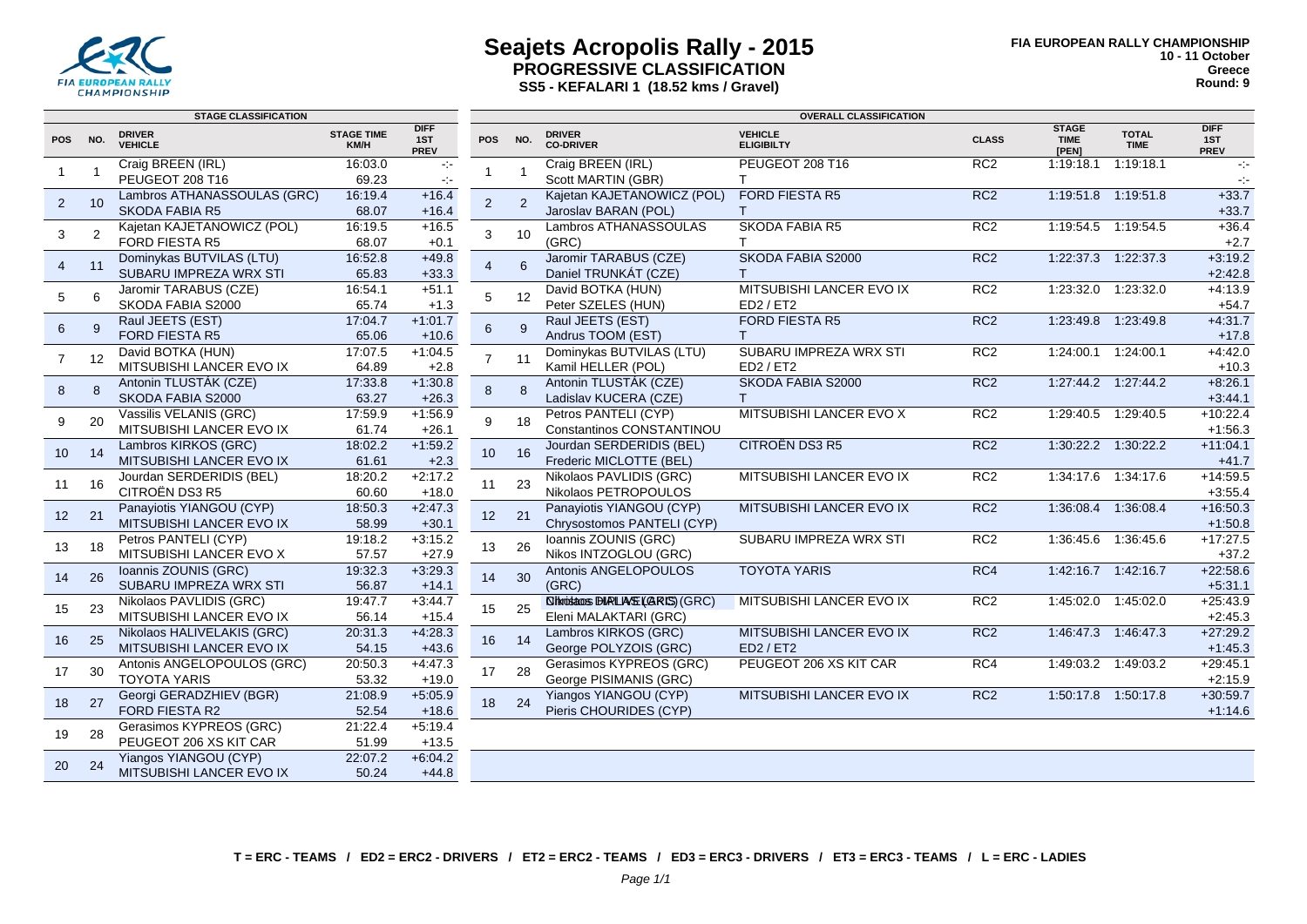

#### **Seajets Acropolis Rally - 2015 PROGRESSIVE CLASSIFICATION SS5 - KEFALARI 1 (18.52 kms / Gravel)**

|                 |     | <b>STAGE CLASSIFICATION</b>                    |                           |                                   | <b>OVERALL CLASSIFICATION</b> |                |                                                |                                          |                 |                                      |                             |                                   |
|-----------------|-----|------------------------------------------------|---------------------------|-----------------------------------|-------------------------------|----------------|------------------------------------------------|------------------------------------------|-----------------|--------------------------------------|-----------------------------|-----------------------------------|
| <b>POS</b>      | NO. | <b>DRIVER</b><br><b>VEHICLE</b>                | <b>STAGE TIME</b><br>KM/H | <b>DIFF</b><br>1ST<br><b>PREV</b> | <b>POS</b>                    | NO.            | <b>DRIVER</b><br><b>CO-DRIVER</b>              | <b>VEHICLE</b><br><b>ELIGIBILTY</b>      | <b>CLASS</b>    | <b>STAGE</b><br><b>TIME</b><br>[PEN] | <b>TOTAL</b><br><b>TIME</b> | <b>DIFF</b><br>1ST<br><b>PREV</b> |
|                 |     | Craig BREEN (IRL)                              | 16:03.0                   | $\sim$                            | 1                             | $\overline{1}$ | Craig BREEN (IRL)                              | PEUGEOT 208 T16                          | RC <sub>2</sub> | 1:19:18.1                            | 1:19:18.1                   | $\sim 10$                         |
|                 |     | PEUGEOT 208 T16                                | 69.23                     | $\sim$                            |                               |                | Scott MARTIN (GBR)                             | T.                                       |                 |                                      |                             | $\sim$                            |
| $\overline{2}$  | 10  | Lambros ATHANASSOULAS (GRC)                    | 16:19.4                   | $+16.4$                           | $\overline{2}$                | $\overline{2}$ | Kajetan KAJETANOWICZ (POL)                     | FORD FIESTA R5                           | RC <sub>2</sub> |                                      | 1:19:51.8 1:19:51.8         | $+33.7$                           |
|                 |     | <b>SKODA FABIA R5</b>                          | 68.07                     | $+16.4$                           |                               |                | Jaroslav BARAN (POL)                           |                                          |                 |                                      |                             | $+33.7$                           |
| 3               | 2   | Kajetan KAJETANOWICZ (POL)                     | 16:19.5                   | $+16.5$                           | 3                             | 10             | Lambros ATHANASSOULAS                          | <b>SKODA FABIA R5</b>                    | RC <sub>2</sub> |                                      | 1:19:54.5  1:19:54.5        | $+36.4$                           |
|                 |     | <b>FORD FIESTA R5</b>                          | 68.07                     | $+0.1$                            |                               |                | (GRC)                                          | T.                                       |                 |                                      |                             | $+2.7$                            |
| $\overline{4}$  | 11  | Dominykas BUTVILAS (LTU)                       | 16:52.8                   | $+49.8$                           | $\overline{4}$                | 6              | Jaromir TARABUS (CZE)                          | <b>SKODA FABIA S2000</b>                 | RC <sub>2</sub> | 1:22:37.3                            | 1:22:37.3                   | $+3:19.2$                         |
|                 |     | SUBARU IMPREZA WRX STI                         | 65.83                     | $+33.3$                           |                               |                | Daniel TRUNKÁT (CZE)                           | $\mathsf{T}$<br>MITSUBISHI LANCER EVO IX | RC2             |                                      |                             | $+2:42.8$                         |
| 5               | 6   | Jaromir TARABUS (CZE)<br>SKODA FABIA S2000     | 16:54.1<br>65.74          | $+51.1$<br>$+1.3$                 | 5                             | 12             | David BOTKA (HUN)<br>Peter SZELES (HUN)        | ED2 / ET2                                |                 | 1:23:32.0                            | 1:23:32.0                   | $+4:13.9$                         |
|                 |     | Raul JEETS (EST)                               | 17:04.7                   | $+1:01.7$                         |                               |                | Raul JEETS (EST)                               | FORD FIESTA R5                           | RC <sub>2</sub> | 1:23:49.8                            | 1:23:49.8                   | $+54.7$<br>$+4:31.7$              |
| 6               | 9   | FORD FIESTA R5                                 | 65.06                     | $+10.6$                           | 6                             | 9              | Andrus TOOM (EST)                              | T                                        |                 |                                      |                             | $+17.8$                           |
|                 |     | David BOTKA (HUN)                              | 17:07.5                   | $+1:04.5$                         |                               |                | Dominykas BUTVILAS (LTU)                       | SUBARU IMPREZA WRX STI                   | RC2             | 1:24:00.1                            | 1:24:00.1                   | $+4:42.0$                         |
| 7               | 12  | MITSUBISHI LANCER EVO IX                       | 64.89                     | $+2.8$                            | $\overline{7}$                | 11             | Kamil HELLER (POL)                             | ED2 / ET2                                |                 |                                      |                             | $+10.3$                           |
|                 |     | Antonin TLUSTÁK (CZE)                          | 17:33.8                   | $+1:30.8$                         |                               |                | Antonin TLUSTÁK (CZE)                          | SKODA FABIA S2000                        | RC <sub>2</sub> |                                      | 1:27:44.2  1:27:44.2        | $+8:26.1$                         |
| 8               | 8   | SKODA FABIA S2000                              | 63.27                     | $+26.3$                           | 8                             | 8              | Ladislav KUCERA (CZE)                          | T                                        |                 |                                      |                             | $+3:44.1$                         |
|                 |     | Vassilis VELANIS (GRC)                         | 17:59.9                   | $+1:56.9$                         |                               | 18             | Petros PANTELI (CYP)                           | MITSUBISHI LANCER EVO X                  | RC <sub>2</sub> | 1:29:40.5                            | 1:29:40.5                   | $+10:22.4$                        |
| 9               | 20  | MITSUBISHI LANCER EVO IX                       | 61.74                     | $+26.1$                           | 9                             |                | Constantinos CONSTANTINOU                      |                                          |                 |                                      |                             | $+1:56.3$                         |
| 10 <sup>°</sup> | 14  | Lambros KIRKOS (GRC)                           | 18:02.2                   | $+1:59.2$                         | 10                            | 16             | Jourdan SERDERIDIS (BEL)                       | <b>CITROËN DS3 R5</b>                    | RC <sub>2</sub> |                                      | 1:30:22.2 1:30:22.2         | $+11:04.1$                        |
|                 |     | MITSUBISHI LANCER EVO IX                       | 61.61                     | $+2.3$                            |                               |                | Frederic MICLOTTE (BEL)                        |                                          |                 |                                      |                             | $+41.7$                           |
| 11              | 16  | Jourdan SERDERIDIS (BEL)                       | 18:20.2                   | $+2:17.2$                         | 11                            | 23             | Nikolaos PAVLIDIS (GRC)                        | MITSUBISHI LANCER EVO IX                 | RC2             | 1:34:17.6                            | 1:34:17.6                   | $+14:59.5$                        |
|                 |     | CITROËN DS3 R5                                 | 60.60                     | $+18.0$                           |                               |                | Nikolaos PETROPOULOS                           |                                          |                 |                                      |                             | $+3.55.4$                         |
| 12              | 21  | Panayiotis YIANGOU (CYP)                       | 18:50.3                   | $+2:47.3$                         | 12                            | 21             | Panayiotis YIANGOU (CYP)                       | MITSUBISHI LANCER EVO IX                 | RC <sub>2</sub> | 1:36:08.4                            | 1:36:08.4                   | $+16:50.3$                        |
|                 |     | MITSUBISHI LANCER EVO IX                       | 58.99                     | $+30.1$                           |                               |                | Chrysostomos PANTELI (CYP)                     |                                          |                 |                                      |                             | $+1:50.8$                         |
| 13              | 18  | Petros PANTELI (CYP)                           | 19:18.2                   | $+3:15.2$                         | 13                            | 26             | Ioannis ZOUNIS (GRC)                           | SUBARU IMPREZA WRX STI                   | RC2             | 1:36:45.6                            | 1:36:45.6                   | $+17:27.5$                        |
|                 |     | MITSUBISHI LANCER EVO X                        | 57.57                     | $+27.9$                           |                               |                | Nikos INTZOGLOU (GRC)                          |                                          |                 |                                      |                             | $+37.2$                           |
| 14              | 26  | Ioannis ZOUNIS (GRC)<br>SUBARU IMPREZA WRX STI | 19:32.3<br>56.87          | $+3:29.3$<br>$+14.1$              | 14                            | 30             | Antonis ANGELOPOULOS<br>(GRC)                  | <b>TOYOTA YARIS</b>                      | RC4             |                                      | 1.42.16.7 1.42.16.7         | $+22:58.6$<br>$+5.31.1$           |
|                 |     | Nikolaos PAVLIDIS (GRC)                        | 19:47.7                   | $+3.44.7$                         |                               |                | <b><i>SIMOISBOOS PIRLIASE (GRIS) (GRC)</i></b> | MITSUBISHI LANCER EVO IX                 | RC2             |                                      | 1:45:02.0 1:45:02.0         | $+25:43.9$                        |
| 15              | 23  | MITSUBISHI LANCER EVO IX                       | 56.14                     | $+15.4$                           | 15                            | 25             | Eleni MALAKTARI (GRC)                          |                                          |                 |                                      |                             | $+2:45.3$                         |
|                 |     | Nikolaos HALIVELAKIS (GRC)                     | 20:31.3                   | $+4:28.3$                         |                               |                | Lambros KIRKOS (GRC)                           | MITSUBISHI LANCER EVO IX                 | RC <sub>2</sub> |                                      | 1:46:47.3 1:46:47.3         | $+27:29.2$                        |
| 16              | 25  | MITSUBISHI LANCER EVO IX                       | 54.15                     | $+43.6$                           | 16                            | 14             | George POLYZOIS (GRC)                          | ED2 / ET2                                |                 |                                      |                             | $+1:45.3$                         |
|                 |     | Antonis ANGELOPOULOS (GRC)                     | 20:50.3                   | $+4:47.3$                         |                               |                | Gerasimos KYPREOS (GRC)                        | PEUGEOT 206 XS KIT CAR                   | RC4             |                                      | 1:49:03.2 1:49:03.2         | $+29:45.1$                        |
| 17              | 30  | <b>TOYOTA YARIS</b>                            | 53.32                     | $+19.0$                           | 17                            | 28             | George PISIMANIS (GRC)                         |                                          |                 |                                      |                             | $+2:15.9$                         |
|                 | 27  | Georgi GERADZHIEV (BGR)                        | 21:08.9                   | $+5:05.9$                         |                               |                | Yiangos YIANGOU (CYP)                          | MITSUBISHI LANCER EVO IX                 | RC <sub>2</sub> |                                      | 1:50:17.8  1:50:17.8        | $+30.59.7$                        |
| 18              |     | <b>FORD FIESTA R2</b>                          | 52.54                     | $+18.6$                           | 18                            | 24             | Pieris CHOURIDES (CYP)                         |                                          |                 |                                      |                             | $+1:14.6$                         |
| 19              | 28  | Gerasimos KYPREOS (GRC)                        | 21:22.4                   | $+5:19.4$                         |                               |                |                                                |                                          |                 |                                      |                             |                                   |
|                 |     | PEUGEOT 206 XS KIT CAR                         | 51.99                     | $+13.5$                           |                               |                |                                                |                                          |                 |                                      |                             |                                   |
| 20              | 24  | <b>Yiangos YIANGOU (CYP)</b>                   | 22:07.2                   | $+6:04.2$                         |                               |                |                                                |                                          |                 |                                      |                             |                                   |
|                 |     | MITSUBISHI LANCER EVO IX                       | 50.24                     | $+44.8$                           |                               |                |                                                |                                          |                 |                                      |                             |                                   |